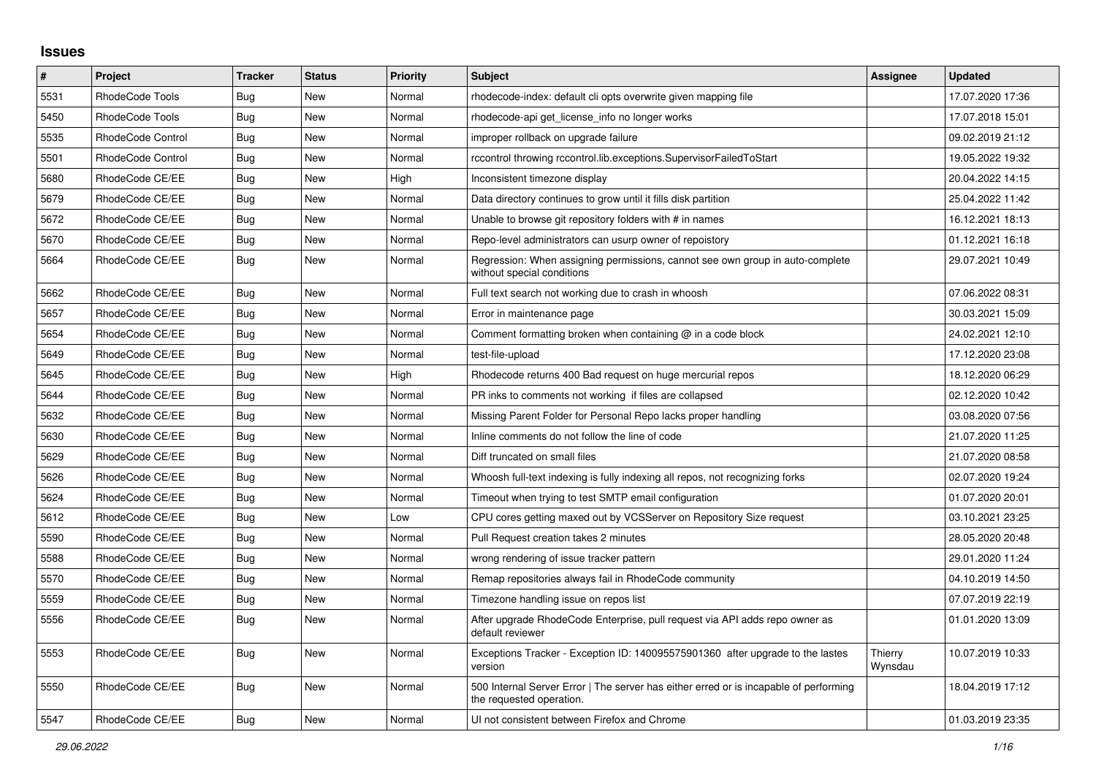## **Issues**

| $\vert$ # | Project                  | <b>Tracker</b> | <b>Status</b> | <b>Priority</b> | <b>Subject</b>                                                                                                    | Assignee           | <b>Updated</b>   |
|-----------|--------------------------|----------------|---------------|-----------------|-------------------------------------------------------------------------------------------------------------------|--------------------|------------------|
| 5531      | RhodeCode Tools          | Bug            | <b>New</b>    | Normal          | rhodecode-index: default cli opts overwrite given mapping file                                                    |                    | 17.07.2020 17:36 |
| 5450      | RhodeCode Tools          | Bug            | New           | Normal          | rhodecode-api get license info no longer works                                                                    |                    | 17.07.2018 15:01 |
| 5535      | <b>RhodeCode Control</b> | Bug            | <b>New</b>    | Normal          | improper rollback on upgrade failure                                                                              |                    | 09.02.2019 21:12 |
| 5501      | <b>RhodeCode Control</b> | Bug            | <b>New</b>    | Normal          | rccontrol throwing rccontrol.lib.exceptions.SupervisorFailedToStart                                               |                    | 19.05.2022 19:32 |
| 5680      | RhodeCode CE/EE          | Bug            | <b>New</b>    | High            | Inconsistent timezone display                                                                                     |                    | 20.04.2022 14:15 |
| 5679      | RhodeCode CE/EE          | Bug            | New           | Normal          | Data directory continues to grow until it fills disk partition                                                    |                    | 25.04.2022 11:42 |
| 5672      | RhodeCode CE/EE          | Bug            | <b>New</b>    | Normal          | Unable to browse git repository folders with # in names                                                           |                    | 16.12.2021 18:13 |
| 5670      | RhodeCode CE/EE          | Bug            | <b>New</b>    | Normal          | Repo-level administrators can usurp owner of repoistory                                                           |                    | 01.12.2021 16:18 |
| 5664      | RhodeCode CE/EE          | <b>Bug</b>     | New           | Normal          | Regression: When assigning permissions, cannot see own group in auto-complete<br>without special conditions       |                    | 29.07.2021 10:49 |
| 5662      | RhodeCode CE/EE          | Bug            | New           | Normal          | Full text search not working due to crash in whoosh                                                               |                    | 07.06.2022 08:31 |
| 5657      | RhodeCode CE/EE          | Bug            | New           | Normal          | Error in maintenance page                                                                                         |                    | 30.03.2021 15:09 |
| 5654      | RhodeCode CE/EE          | Bug            | <b>New</b>    | Normal          | Comment formatting broken when containing $@$ in a code block                                                     |                    | 24.02.2021 12:10 |
| 5649      | RhodeCode CE/EE          | Bug            | <b>New</b>    | Normal          | test-file-upload                                                                                                  |                    | 17.12.2020 23:08 |
| 5645      | RhodeCode CE/EE          | Bug            | <b>New</b>    | High            | Rhodecode returns 400 Bad request on huge mercurial repos                                                         |                    | 18.12.2020 06:29 |
| 5644      | RhodeCode CE/EE          | Bug            | New           | Normal          | PR inks to comments not working if files are collapsed                                                            |                    | 02.12.2020 10:42 |
| 5632      | RhodeCode CE/EE          | Bug            | <b>New</b>    | Normal          | Missing Parent Folder for Personal Repo lacks proper handling                                                     |                    | 03.08.2020 07:56 |
| 5630      | RhodeCode CE/EE          | <b>Bug</b>     | <b>New</b>    | Normal          | Inline comments do not follow the line of code                                                                    |                    | 21.07.2020 11:25 |
| 5629      | RhodeCode CE/EE          | Bug            | <b>New</b>    | Normal          | Diff truncated on small files                                                                                     |                    | 21.07.2020 08:58 |
| 5626      | RhodeCode CE/EE          | <b>Bug</b>     | <b>New</b>    | Normal          | Whoosh full-text indexing is fully indexing all repos, not recognizing forks                                      |                    | 02.07.2020 19:24 |
| 5624      | RhodeCode CE/EE          | <b>Bug</b>     | <b>New</b>    | Normal          | Timeout when trying to test SMTP email configuration                                                              |                    | 01.07.2020 20:01 |
| 5612      | RhodeCode CE/EE          | Bug            | <b>New</b>    | Low             | CPU cores getting maxed out by VCSServer on Repository Size request                                               |                    | 03.10.2021 23:25 |
| 5590      | RhodeCode CE/EE          | Bug            | <b>New</b>    | Normal          | Pull Request creation takes 2 minutes                                                                             |                    | 28.05.2020 20:48 |
| 5588      | RhodeCode CE/EE          | Bug            | <b>New</b>    | Normal          | wrong rendering of issue tracker pattern                                                                          |                    | 29.01.2020 11:24 |
| 5570      | RhodeCode CE/EE          | Bug            | New           | Normal          | Remap repositories always fail in RhodeCode community                                                             |                    | 04.10.2019 14:50 |
| 5559      | RhodeCode CE/EE          | Bug            | New           | Normal          | Timezone handling issue on repos list                                                                             |                    | 07.07.2019 22:19 |
| 5556      | RhodeCode CE/EE          | <b>Bug</b>     | <b>New</b>    | Normal          | After upgrade RhodeCode Enterprise, pull request via API adds repo owner as<br>default reviewer                   |                    | 01.01.2020 13:09 |
| 5553      | RhodeCode CE/EE          | Bug            | <b>New</b>    | Normal          | Exceptions Tracker - Exception ID: 140095575901360 after upgrade to the lastes<br>version                         | Thierry<br>Wynsdau | 10.07.2019 10:33 |
| 5550      | RhodeCode CE/EE          | <b>Bug</b>     | <b>New</b>    | Normal          | 500 Internal Server Error   The server has either erred or is incapable of performing<br>the requested operation. |                    | 18.04.2019 17:12 |
| 5547      | RhodeCode CE/EE          | Bug            | <b>New</b>    | Normal          | UI not consistent between Firefox and Chrome                                                                      |                    | 01.03.2019 23:35 |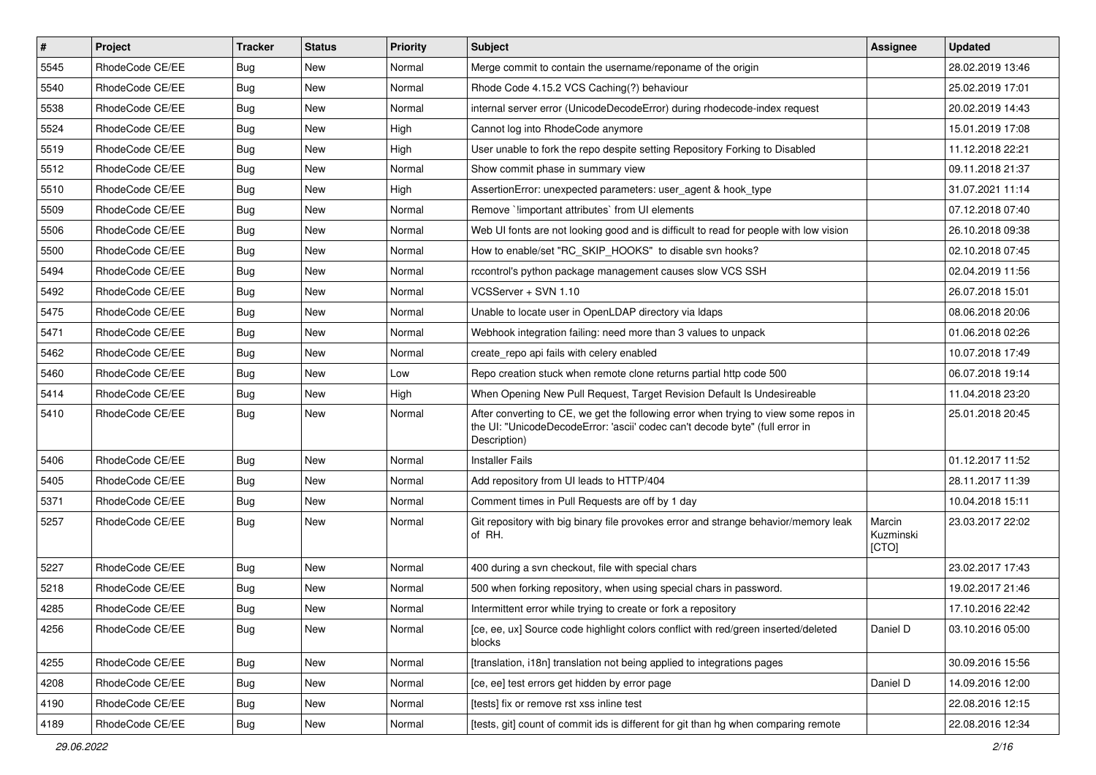| $\vert$ # | Project         | <b>Tracker</b> | <b>Status</b> | <b>Priority</b> | <b>Subject</b>                                                                                                                                                                       | <b>Assignee</b>              | <b>Updated</b>   |
|-----------|-----------------|----------------|---------------|-----------------|--------------------------------------------------------------------------------------------------------------------------------------------------------------------------------------|------------------------------|------------------|
| 5545      | RhodeCode CE/EE | Bug            | New           | Normal          | Merge commit to contain the username/reponame of the origin                                                                                                                          |                              | 28.02.2019 13:46 |
| 5540      | RhodeCode CE/EE | Bug            | New           | Normal          | Rhode Code 4.15.2 VCS Caching(?) behaviour                                                                                                                                           |                              | 25.02.2019 17:01 |
| 5538      | RhodeCode CE/EE | Bug            | <b>New</b>    | Normal          | internal server error (UnicodeDecodeError) during rhodecode-index request                                                                                                            |                              | 20.02.2019 14:43 |
| 5524      | RhodeCode CE/EE | <b>Bug</b>     | New           | High            | Cannot log into RhodeCode anymore                                                                                                                                                    |                              | 15.01.2019 17:08 |
| 5519      | RhodeCode CE/EE | Bug            | <b>New</b>    | High            | User unable to fork the repo despite setting Repository Forking to Disabled                                                                                                          |                              | 11.12.2018 22:21 |
| 5512      | RhodeCode CE/EE | <b>Bug</b>     | New           | Normal          | Show commit phase in summary view                                                                                                                                                    |                              | 09.11.2018 21:37 |
| 5510      | RhodeCode CE/EE | Bug            | New           | High            | AssertionError: unexpected parameters: user_agent & hook_type                                                                                                                        |                              | 31.07.2021 11:14 |
| 5509      | RhodeCode CE/EE | <b>Bug</b>     | <b>New</b>    | Normal          | Remove `limportant attributes` from UI elements                                                                                                                                      |                              | 07.12.2018 07:40 |
| 5506      | RhodeCode CE/EE | Bug            | New           | Normal          | Web UI fonts are not looking good and is difficult to read for people with low vision                                                                                                |                              | 26.10.2018 09:38 |
| 5500      | RhodeCode CE/EE | Bug            | New           | Normal          | How to enable/set "RC_SKIP_HOOKS" to disable svn hooks?                                                                                                                              |                              | 02.10.2018 07:45 |
| 5494      | RhodeCode CE/EE | Bug            | New           | Normal          | rccontrol's python package management causes slow VCS SSH                                                                                                                            |                              | 02.04.2019 11:56 |
| 5492      | RhodeCode CE/EE | Bug            | New           | Normal          | VCSServer + SVN 1.10                                                                                                                                                                 |                              | 26.07.2018 15:01 |
| 5475      | RhodeCode CE/EE | <b>Bug</b>     | New           | Normal          | Unable to locate user in OpenLDAP directory via Idaps                                                                                                                                |                              | 08.06.2018 20:06 |
| 5471      | RhodeCode CE/EE | Bug            | New           | Normal          | Webhook integration failing: need more than 3 values to unpack                                                                                                                       |                              | 01.06.2018 02:26 |
| 5462      | RhodeCode CE/EE | Bug            | New           | Normal          | create repo api fails with celery enabled                                                                                                                                            |                              | 10.07.2018 17:49 |
| 5460      | RhodeCode CE/EE | Bug            | <b>New</b>    | Low             | Repo creation stuck when remote clone returns partial http code 500                                                                                                                  |                              | 06.07.2018 19:14 |
| 5414      | RhodeCode CE/EE | Bug            | New           | High            | When Opening New Pull Request, Target Revision Default Is Undesireable                                                                                                               |                              | 11.04.2018 23:20 |
| 5410      | RhodeCode CE/EE | Bug            | New           | Normal          | After converting to CE, we get the following error when trying to view some repos in<br>the UI: "UnicodeDecodeError: 'ascii' codec can't decode byte" (full error in<br>Description) |                              | 25.01.2018 20:45 |
| 5406      | RhodeCode CE/EE | Bug            | <b>New</b>    | Normal          | <b>Installer Fails</b>                                                                                                                                                               |                              | 01.12.2017 11:52 |
| 5405      | RhodeCode CE/EE | Bug            | New           | Normal          | Add repository from UI leads to HTTP/404                                                                                                                                             |                              | 28.11.2017 11:39 |
| 5371      | RhodeCode CE/EE | Bug            | New           | Normal          | Comment times in Pull Requests are off by 1 day                                                                                                                                      |                              | 10.04.2018 15:11 |
| 5257      | RhodeCode CE/EE | Bug            | New           | Normal          | Git repository with big binary file provokes error and strange behavior/memory leak<br>of RH.                                                                                        | Marcin<br>Kuzminski<br>[CTO] | 23.03.2017 22:02 |
| 5227      | RhodeCode CE/EE | Bug            | New           | Normal          | 400 during a svn checkout, file with special chars                                                                                                                                   |                              | 23.02.2017 17:43 |
| 5218      | RhodeCode CE/EE | Bug            | New           | Normal          | 500 when forking repository, when using special chars in password.                                                                                                                   |                              | 19.02.2017 21:46 |
| 4285      | RhodeCode CE/EE | Bug            | New           | Normal          | Intermittent error while trying to create or fork a repository                                                                                                                       |                              | 17.10.2016 22:42 |
| 4256      | RhodeCode CE/EE | Bug            | New           | Normal          | [ce, ee, ux] Source code highlight colors conflict with red/green inserted/deleted<br>blocks                                                                                         | Daniel D                     | 03.10.2016 05:00 |
| 4255      | RhodeCode CE/EE | <b>Bug</b>     | New           | Normal          | [translation, i18n] translation not being applied to integrations pages                                                                                                              |                              | 30.09.2016 15:56 |
| 4208      | RhodeCode CE/EE | <b>Bug</b>     | New           | Normal          | [ce, ee] test errors get hidden by error page                                                                                                                                        | Daniel D                     | 14.09.2016 12:00 |
| 4190      | RhodeCode CE/EE | <b>Bug</b>     | New           | Normal          | [tests] fix or remove rst xss inline test                                                                                                                                            |                              | 22.08.2016 12:15 |
| 4189      | RhodeCode CE/EE | <b>Bug</b>     | New           | Normal          | [tests, git] count of commit ids is different for git than hg when comparing remote                                                                                                  |                              | 22.08.2016 12:34 |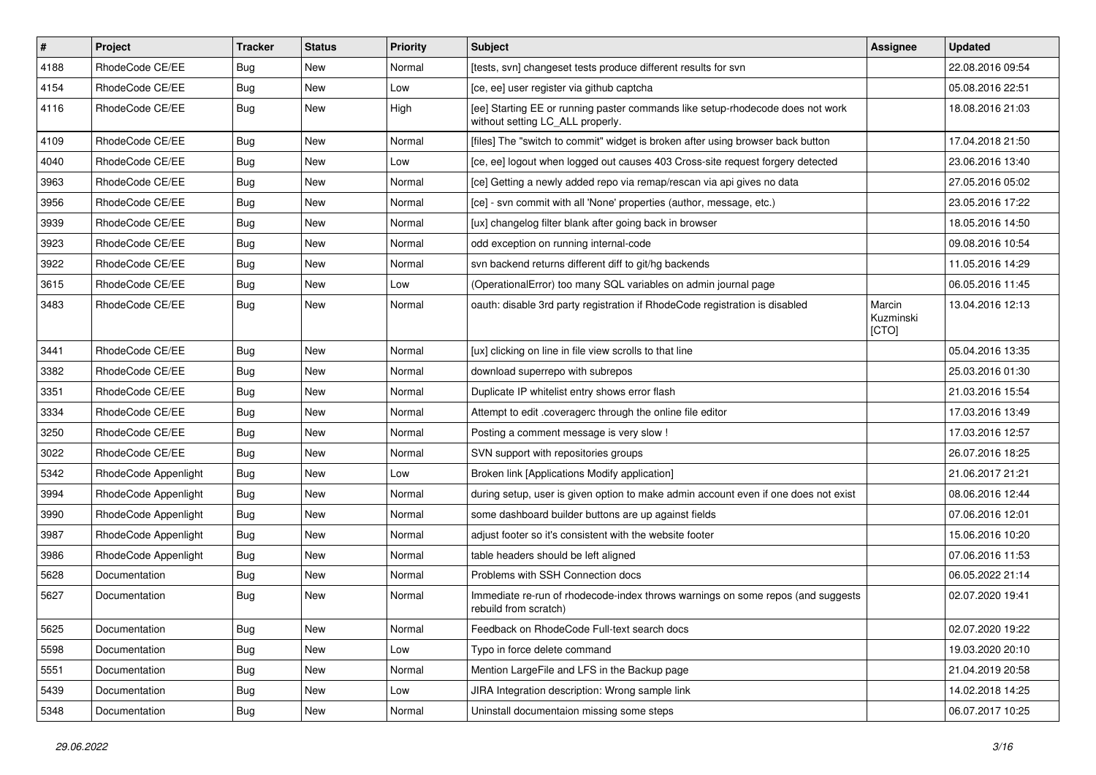| $\pmb{\#}$ | <b>Project</b>       | <b>Tracker</b> | <b>Status</b> | <b>Priority</b> | <b>Subject</b>                                                                                                     | <b>Assignee</b>              | <b>Updated</b>   |
|------------|----------------------|----------------|---------------|-----------------|--------------------------------------------------------------------------------------------------------------------|------------------------------|------------------|
| 4188       | RhodeCode CE/EE      | Bug            | New           | Normal          | [tests, svn] changeset tests produce different results for svn                                                     |                              | 22.08.2016 09:54 |
| 4154       | RhodeCode CE/EE      | Bug            | <b>New</b>    | Low             | [ce, ee] user register via github captcha                                                                          |                              | 05.08.2016 22:51 |
| 4116       | RhodeCode CE/EE      | Bug            | New           | High            | [ee] Starting EE or running paster commands like setup-rhodecode does not work<br>without setting LC_ALL properly. |                              | 18.08.2016 21:03 |
| 4109       | RhodeCode CE/EE      | Bug            | <b>New</b>    | Normal          | [files] The "switch to commit" widget is broken after using browser back button                                    |                              | 17.04.2018 21:50 |
| 4040       | RhodeCode CE/EE      | Bug            | New           | Low             | [ce, ee] logout when logged out causes 403 Cross-site request forgery detected                                     |                              | 23.06.2016 13:40 |
| 3963       | RhodeCode CE/EE      | Bug            | New           | Normal          | [ce] Getting a newly added repo via remap/rescan via api gives no data                                             |                              | 27.05.2016 05:02 |
| 3956       | RhodeCode CE/EE      | Bug            | New           | Normal          | [ce] - svn commit with all 'None' properties (author, message, etc.)                                               |                              | 23.05.2016 17:22 |
| 3939       | RhodeCode CE/EE      | <b>Bug</b>     | New           | Normal          | [ux] changelog filter blank after going back in browser                                                            |                              | 18.05.2016 14:50 |
| 3923       | RhodeCode CE/EE      | Bug            | <b>New</b>    | Normal          | odd exception on running internal-code                                                                             |                              | 09.08.2016 10:54 |
| 3922       | RhodeCode CE/EE      | Bug            | New           | Normal          | svn backend returns different diff to git/hg backends                                                              |                              | 11.05.2016 14:29 |
| 3615       | RhodeCode CE/EE      | Bug            | New           | Low             | (OperationalError) too many SQL variables on admin journal page                                                    |                              | 06.05.2016 11:45 |
| 3483       | RhodeCode CE/EE      | Bug            | <b>New</b>    | Normal          | oauth: disable 3rd party registration if RhodeCode registration is disabled                                        | Marcin<br>Kuzminski<br>[CTO] | 13.04.2016 12:13 |
| 3441       | RhodeCode CE/EE      | Bug            | New           | Normal          | [ux] clicking on line in file view scrolls to that line                                                            |                              | 05.04.2016 13:35 |
| 3382       | RhodeCode CE/EE      | Bug            | <b>New</b>    | Normal          | download superrepo with subrepos                                                                                   |                              | 25.03.2016 01:30 |
| 3351       | RhodeCode CE/EE      | Bug            | <b>New</b>    | Normal          | Duplicate IP whitelist entry shows error flash                                                                     |                              | 21.03.2016 15:54 |
| 3334       | RhodeCode CE/EE      | Bug            | New           | Normal          | Attempt to edit .coveragerc through the online file editor                                                         |                              | 17.03.2016 13:49 |
| 3250       | RhodeCode CE/EE      | Bug            | New           | Normal          | Posting a comment message is very slow !                                                                           |                              | 17.03.2016 12:57 |
| 3022       | RhodeCode CE/EE      | Bug            | New           | Normal          | SVN support with repositories groups                                                                               |                              | 26.07.2016 18:25 |
| 5342       | RhodeCode Appenlight | Bug            | <b>New</b>    | Low             | Broken link [Applications Modify application]                                                                      |                              | 21.06.2017 21:21 |
| 3994       | RhodeCode Appenlight | <b>Bug</b>     | New           | Normal          | during setup, user is given option to make admin account even if one does not exist                                |                              | 08.06.2016 12:44 |
| 3990       | RhodeCode Appenlight | Bug            | New           | Normal          | some dashboard builder buttons are up against fields                                                               |                              | 07.06.2016 12:01 |
| 3987       | RhodeCode Appenlight | Bug            | New           | Normal          | adjust footer so it's consistent with the website footer                                                           |                              | 15.06.2016 10:20 |
| 3986       | RhodeCode Appenlight | Bug            | <b>New</b>    | Normal          | table headers should be left aligned                                                                               |                              | 07.06.2016 11:53 |
| 5628       | Documentation        | Bug            | New           | Normal          | Problems with SSH Connection docs                                                                                  |                              | 06.05.2022 21:14 |
| 5627       | Documentation        | Bug            | New           | Normal          | Immediate re-run of rhodecode-index throws warnings on some repos (and suggests<br>rebuild from scratch)           |                              | 02.07.2020 19:41 |
| 5625       | Documentation        | Bug            | New           | Normal          | Feedback on RhodeCode Full-text search docs                                                                        |                              | 02.07.2020 19:22 |
| 5598       | Documentation        | <b>Bug</b>     | <b>New</b>    | Low             | Typo in force delete command                                                                                       |                              | 19.03.2020 20:10 |
| 5551       | Documentation        | <b>Bug</b>     | New           | Normal          | Mention LargeFile and LFS in the Backup page                                                                       |                              | 21.04.2019 20:58 |
| 5439       | Documentation        | <b>Bug</b>     | New           | Low             | JIRA Integration description: Wrong sample link                                                                    |                              | 14.02.2018 14:25 |
| 5348       | Documentation        | <b>Bug</b>     | New           | Normal          | Uninstall documentaion missing some steps                                                                          |                              | 06.07.2017 10:25 |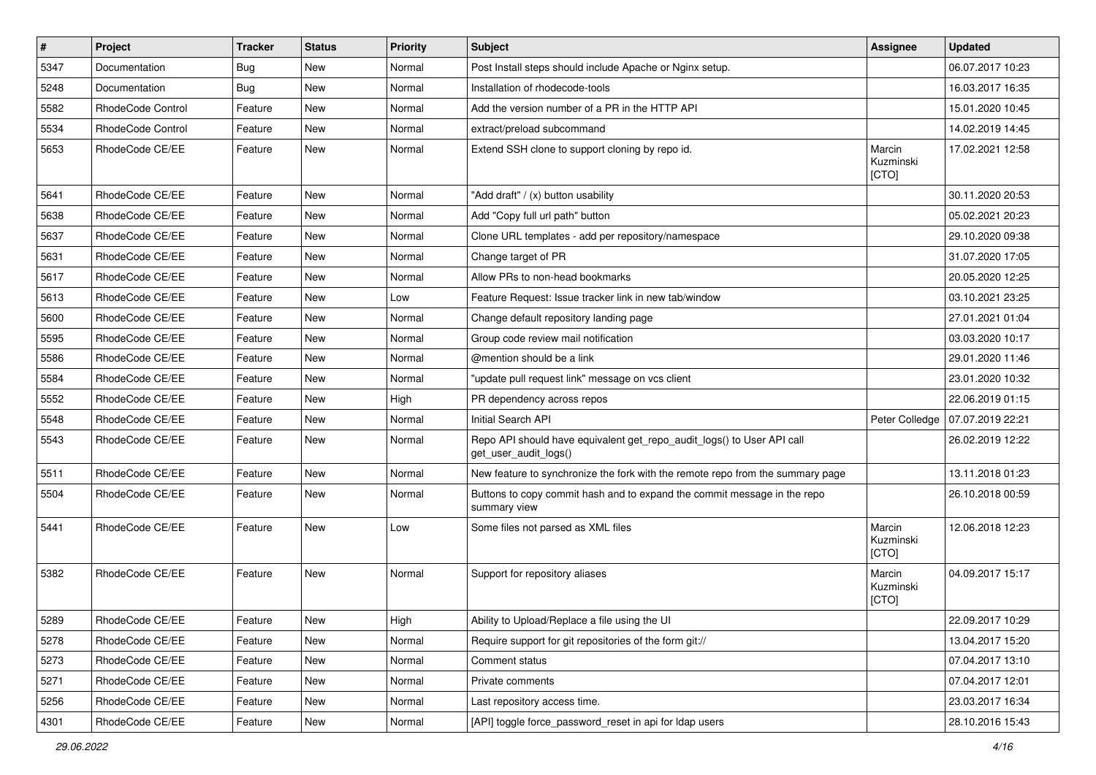| $\pmb{\#}$ | Project           | <b>Tracker</b> | <b>Status</b> | <b>Priority</b> | Subject                                                                                         | Assignee                     | <b>Updated</b>   |
|------------|-------------------|----------------|---------------|-----------------|-------------------------------------------------------------------------------------------------|------------------------------|------------------|
| 5347       | Documentation     | Bug            | New           | Normal          | Post Install steps should include Apache or Nginx setup.                                        |                              | 06.07.2017 10:23 |
| 5248       | Documentation     | Bug            | <b>New</b>    | Normal          | Installation of rhodecode-tools                                                                 |                              | 16.03.2017 16:35 |
| 5582       | RhodeCode Control | Feature        | New           | Normal          | Add the version number of a PR in the HTTP API                                                  |                              | 15.01.2020 10:45 |
| 5534       | RhodeCode Control | Feature        | New           | Normal          | extract/preload subcommand                                                                      |                              | 14.02.2019 14:45 |
| 5653       | RhodeCode CE/EE   | Feature        | <b>New</b>    | Normal          | Extend SSH clone to support cloning by repo id.                                                 | Marcin<br>Kuzminski<br>[CTO] | 17.02.2021 12:58 |
| 5641       | RhodeCode CE/EE   | Feature        | <b>New</b>    | Normal          | "Add draft" / (x) button usability                                                              |                              | 30.11.2020 20:53 |
| 5638       | RhodeCode CE/EE   | Feature        | <b>New</b>    | Normal          | Add "Copy full url path" button                                                                 |                              | 05.02.2021 20:23 |
| 5637       | RhodeCode CE/EE   | Feature        | <b>New</b>    | Normal          | Clone URL templates - add per repository/namespace                                              |                              | 29.10.2020 09:38 |
| 5631       | RhodeCode CE/EE   | Feature        | New           | Normal          | Change target of PR                                                                             |                              | 31.07.2020 17:05 |
| 5617       | RhodeCode CE/EE   | Feature        | New           | Normal          | Allow PRs to non-head bookmarks                                                                 |                              | 20.05.2020 12:25 |
| 5613       | RhodeCode CE/EE   | Feature        | <b>New</b>    | Low             | Feature Request: Issue tracker link in new tab/window                                           |                              | 03.10.2021 23:25 |
| 5600       | RhodeCode CE/EE   | Feature        | New           | Normal          | Change default repository landing page                                                          |                              | 27.01.2021 01:04 |
| 5595       | RhodeCode CE/EE   | Feature        | <b>New</b>    | Normal          | Group code review mail notification                                                             |                              | 03.03.2020 10:17 |
| 5586       | RhodeCode CE/EE   | Feature        | New           | Normal          | @mention should be a link                                                                       |                              | 29.01.2020 11:46 |
| 5584       | RhodeCode CE/EE   | Feature        | New           | Normal          | "update pull request link" message on vcs client                                                |                              | 23.01.2020 10:32 |
| 5552       | RhodeCode CE/EE   | Feature        | <b>New</b>    | High            | PR dependency across repos                                                                      |                              | 22.06.2019 01:15 |
| 5548       | RhodeCode CE/EE   | Feature        | New           | Normal          | Initial Search API                                                                              | Peter Colledge               | 07.07.2019 22:21 |
| 5543       | RhodeCode CE/EE   | Feature        | New           | Normal          | Repo API should have equivalent get_repo_audit_logs() to User API call<br>get_user_audit_logs() |                              | 26.02.2019 12:22 |
| 5511       | RhodeCode CE/EE   | Feature        | <b>New</b>    | Normal          | New feature to synchronize the fork with the remote repo from the summary page                  |                              | 13.11.2018 01:23 |
| 5504       | RhodeCode CE/EE   | Feature        | New           | Normal          | Buttons to copy commit hash and to expand the commit message in the repo<br>summary view        |                              | 26.10.2018 00:59 |
| 5441       | RhodeCode CE/EE   | Feature        | <b>New</b>    | Low             | Some files not parsed as XML files                                                              | Marcin<br>Kuzminski<br>[CTO] | 12.06.2018 12:23 |
| 5382       | RhodeCode CE/EE   | Feature        | <b>New</b>    | Normal          | Support for repository aliases                                                                  | Marcin<br>Kuzminski<br>[CTO] | 04.09.2017 15:17 |
| 5289       | RhodeCode CE/EE   | Feature        | New           | High            | Ability to Upload/Replace a file using the UI                                                   |                              | 22.09.2017 10:29 |
| 5278       | RhodeCode CE/EE   | Feature        | New           | Normal          | Require support for git repositories of the form git://                                         |                              | 13.04.2017 15:20 |
| 5273       | RhodeCode CE/EE   | Feature        | New           | Normal          | Comment status                                                                                  |                              | 07.04.2017 13:10 |
| 5271       | RhodeCode CE/EE   | Feature        | New           | Normal          | Private comments                                                                                |                              | 07.04.2017 12:01 |
| 5256       | RhodeCode CE/EE   | Feature        | New           | Normal          | Last repository access time.                                                                    |                              | 23.03.2017 16:34 |
| 4301       | RhodeCode CE/EE   | Feature        | New           | Normal          | [API] toggle force_password_reset in api for Idap users                                         |                              | 28.10.2016 15:43 |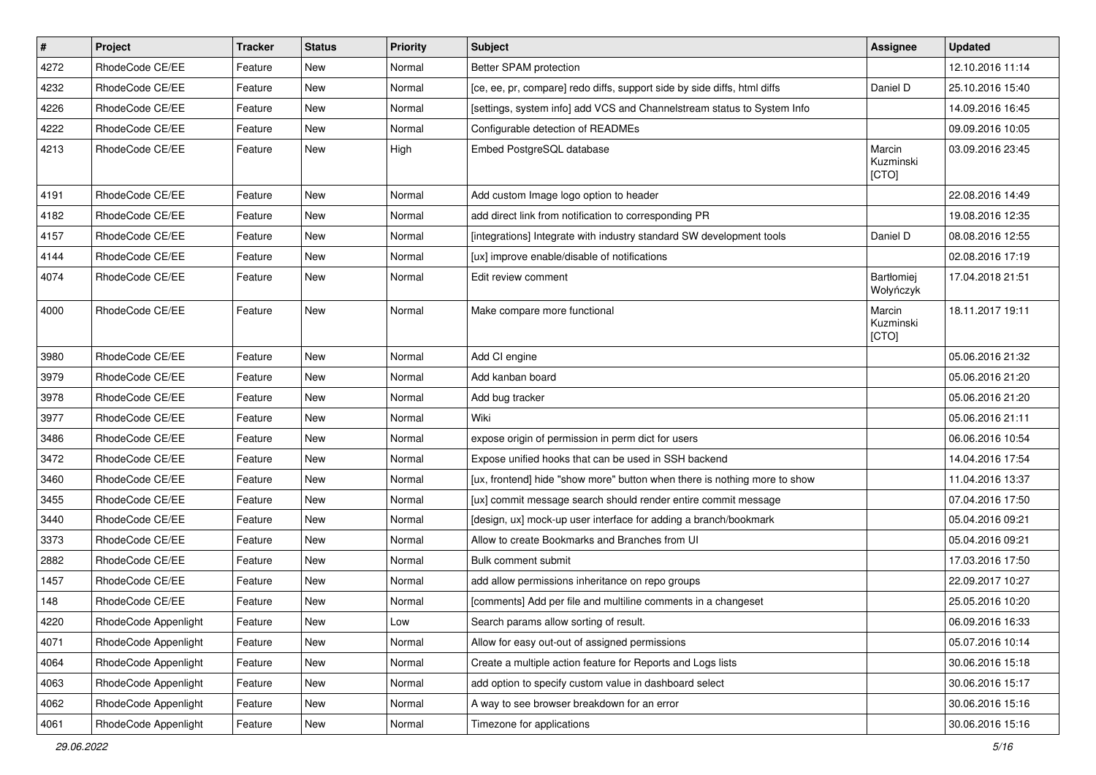| $\pmb{\#}$ | Project              | <b>Tracker</b> | <b>Status</b> | <b>Priority</b> | <b>Subject</b>                                                            | <b>Assignee</b>              | <b>Updated</b>   |
|------------|----------------------|----------------|---------------|-----------------|---------------------------------------------------------------------------|------------------------------|------------------|
| 4272       | RhodeCode CE/EE      | Feature        | <b>New</b>    | Normal          | Better SPAM protection                                                    |                              | 12.10.2016 11:14 |
| 4232       | RhodeCode CE/EE      | Feature        | New           | Normal          | [ce, ee, pr, compare] redo diffs, support side by side diffs, html diffs  | Daniel D                     | 25.10.2016 15:40 |
| 4226       | RhodeCode CE/EE      | Feature        | New           | Normal          | [settings, system info] add VCS and Channelstream status to System Info   |                              | 14.09.2016 16:45 |
| 4222       | RhodeCode CE/EE      | Feature        | New           | Normal          | Configurable detection of READMEs                                         |                              | 09.09.2016 10:05 |
| 4213       | RhodeCode CE/EE      | Feature        | <b>New</b>    | High            | Embed PostgreSQL database                                                 | Marcin<br>Kuzminski<br>[CTO] | 03.09.2016 23:45 |
| 4191       | RhodeCode CE/EE      | Feature        | <b>New</b>    | Normal          | Add custom Image logo option to header                                    |                              | 22.08.2016 14:49 |
| 4182       | RhodeCode CE/EE      | Feature        | <b>New</b>    | Normal          | add direct link from notification to corresponding PR                     |                              | 19.08.2016 12:35 |
| 4157       | RhodeCode CE/EE      | Feature        | New           | Normal          | [integrations] Integrate with industry standard SW development tools      | Daniel D                     | 08.08.2016 12:55 |
| 4144       | RhodeCode CE/EE      | Feature        | <b>New</b>    | Normal          | [ux] improve enable/disable of notifications                              |                              | 02.08.2016 17:19 |
| 4074       | RhodeCode CE/EE      | Feature        | New           | Normal          | Edit review comment                                                       | Bartłomiej<br>Wołyńczyk      | 17.04.2018 21:51 |
| 4000       | RhodeCode CE/EE      | Feature        | <b>New</b>    | Normal          | Make compare more functional                                              | Marcin<br>Kuzminski<br>[CTO] | 18.11.2017 19:11 |
| 3980       | RhodeCode CE/EE      | Feature        | <b>New</b>    | Normal          | Add CI engine                                                             |                              | 05.06.2016 21:32 |
| 3979       | RhodeCode CE/EE      | Feature        | New           | Normal          | Add kanban board                                                          |                              | 05.06.2016 21:20 |
| 3978       | RhodeCode CE/EE      | Feature        | New           | Normal          | Add bug tracker                                                           |                              | 05.06.2016 21:20 |
| 3977       | RhodeCode CE/EE      | Feature        | <b>New</b>    | Normal          | Wiki                                                                      |                              | 05.06.2016 21:11 |
| 3486       | RhodeCode CE/EE      | Feature        | <b>New</b>    | Normal          | expose origin of permission in perm dict for users                        |                              | 06.06.2016 10:54 |
| 3472       | RhodeCode CE/EE      | Feature        | <b>New</b>    | Normal          | Expose unified hooks that can be used in SSH backend                      |                              | 14.04.2016 17:54 |
| 3460       | RhodeCode CE/EE      | Feature        | New           | Normal          | [ux, frontend] hide "show more" button when there is nothing more to show |                              | 11.04.2016 13:37 |
| 3455       | RhodeCode CE/EE      | Feature        | <b>New</b>    | Normal          | [ux] commit message search should render entire commit message            |                              | 07.04.2016 17:50 |
| 3440       | RhodeCode CE/EE      | Feature        | <b>New</b>    | Normal          | [design, ux] mock-up user interface for adding a branch/bookmark          |                              | 05.04.2016 09:21 |
| 3373       | RhodeCode CE/EE      | Feature        | <b>New</b>    | Normal          | Allow to create Bookmarks and Branches from UI                            |                              | 05.04.2016 09:21 |
| 2882       | RhodeCode CE/EE      | Feature        | New           | Normal          | Bulk comment submit                                                       |                              | 17.03.2016 17:50 |
| 1457       | RhodeCode CE/EE      | Feature        | New           | Normal          | add allow permissions inheritance on repo groups                          |                              | 22.09.2017 10:27 |
| 148        | RhodeCode CE/EE      | Feature        | <b>New</b>    | Normal          | [comments] Add per file and multiline comments in a changeset             |                              | 25.05.2016 10:20 |
| 4220       | RhodeCode Appenlight | Feature        | New           | Low             | Search params allow sorting of result.                                    |                              | 06.09.2016 16:33 |
| 4071       | RhodeCode Appenlight | Feature        | <b>New</b>    | Normal          | Allow for easy out-out of assigned permissions                            |                              | 05.07.2016 10:14 |
| 4064       | RhodeCode Appenlight | Feature        | New           | Normal          | Create a multiple action feature for Reports and Logs lists               |                              | 30.06.2016 15:18 |
| 4063       | RhodeCode Appenlight | Feature        | New           | Normal          | add option to specify custom value in dashboard select                    |                              | 30.06.2016 15:17 |
| 4062       | RhodeCode Appenlight | Feature        | New           | Normal          | A way to see browser breakdown for an error                               |                              | 30.06.2016 15:16 |
| 4061       | RhodeCode Appenlight | Feature        | New           | Normal          | Timezone for applications                                                 |                              | 30.06.2016 15:16 |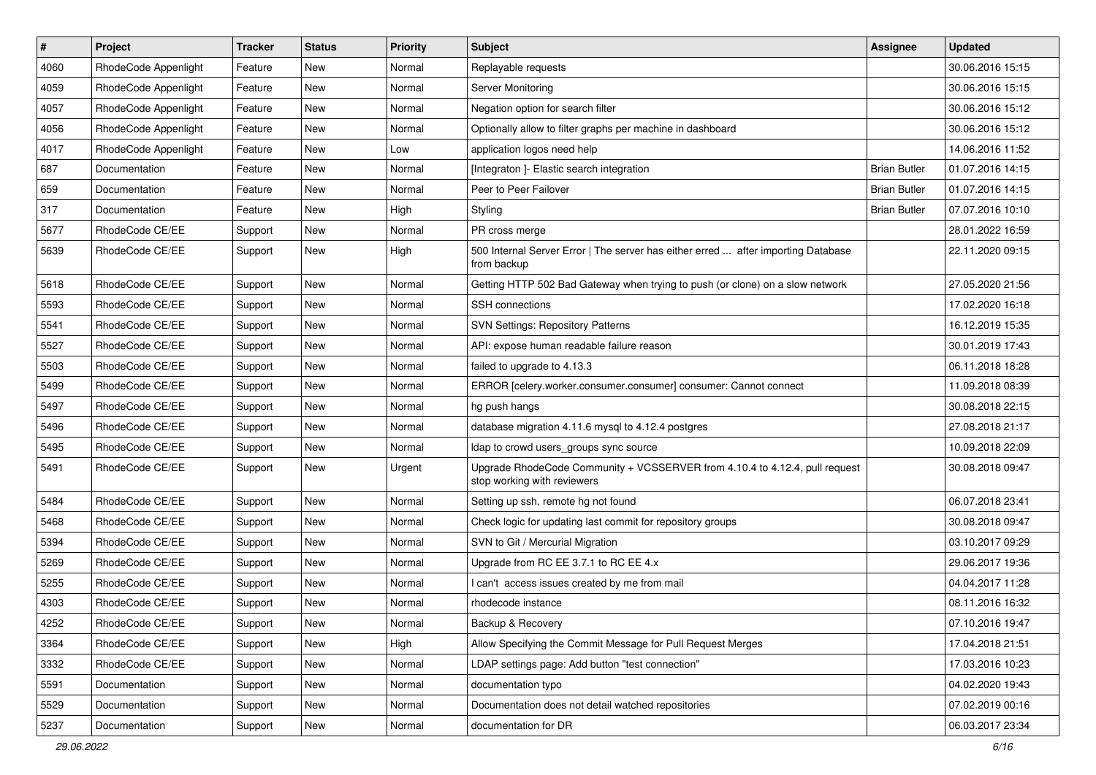| $\vert$ # | Project              | <b>Tracker</b> | <b>Status</b> | Priority | <b>Subject</b>                                                                                             | <b>Assignee</b>     | <b>Updated</b>   |
|-----------|----------------------|----------------|---------------|----------|------------------------------------------------------------------------------------------------------------|---------------------|------------------|
| 4060      | RhodeCode Appenlight | Feature        | New           | Normal   | Replayable requests                                                                                        |                     | 30.06.2016 15:15 |
| 4059      | RhodeCode Appenlight | Feature        | New           | Normal   | Server Monitoring                                                                                          |                     | 30.06.2016 15:15 |
| 4057      | RhodeCode Appenlight | Feature        | New           | Normal   | Negation option for search filter                                                                          |                     | 30.06.2016 15:12 |
| 4056      | RhodeCode Appenlight | Feature        | New           | Normal   | Optionally allow to filter graphs per machine in dashboard                                                 |                     | 30.06.2016 15:12 |
| 4017      | RhodeCode Appenlight | Feature        | New           | Low      | application logos need help                                                                                |                     | 14.06.2016 11:52 |
| 687       | Documentation        | Feature        | New           | Normal   | [Integraton ]- Elastic search integration                                                                  | <b>Brian Butler</b> | 01.07.2016 14:15 |
| 659       | Documentation        | Feature        | New           | Normal   | Peer to Peer Failover                                                                                      | <b>Brian Butler</b> | 01.07.2016 14:15 |
| 317       | Documentation        | Feature        | New           | High     | Styling                                                                                                    | <b>Brian Butler</b> | 07.07.2016 10:10 |
| 5677      | RhodeCode CE/EE      | Support        | New           | Normal   | PR cross merge                                                                                             |                     | 28.01.2022 16:59 |
| 5639      | RhodeCode CE/EE      | Support        | New           | High     | 500 Internal Server Error   The server has either erred  after importing Database<br>from backup           |                     | 22.11.2020 09:15 |
| 5618      | RhodeCode CE/EE      | Support        | New           | Normal   | Getting HTTP 502 Bad Gateway when trying to push (or clone) on a slow network                              |                     | 27.05.2020 21:56 |
| 5593      | RhodeCode CE/EE      | Support        | New           | Normal   | <b>SSH</b> connections                                                                                     |                     | 17.02.2020 16:18 |
| 5541      | RhodeCode CE/EE      | Support        | New           | Normal   | <b>SVN Settings: Repository Patterns</b>                                                                   |                     | 16.12.2019 15:35 |
| 5527      | RhodeCode CE/EE      | Support        | <b>New</b>    | Normal   | API: expose human readable failure reason                                                                  |                     | 30.01.2019 17:43 |
| 5503      | RhodeCode CE/EE      | Support        | New           | Normal   | failed to upgrade to 4.13.3                                                                                |                     | 06.11.2018 18:28 |
| 5499      | RhodeCode CE/EE      | Support        | New           | Normal   | ERROR [celery.worker.consumer.consumer] consumer: Cannot connect                                           |                     | 11.09.2018 08:39 |
| 5497      | RhodeCode CE/EE      | Support        | New           | Normal   | hg push hangs                                                                                              |                     | 30.08.2018 22:15 |
| 5496      | RhodeCode CE/EE      | Support        | New           | Normal   | database migration 4.11.6 mysql to 4.12.4 postgres                                                         |                     | 27.08.2018 21:17 |
| 5495      | RhodeCode CE/EE      | Support        | New           | Normal   | Idap to crowd users groups sync source                                                                     |                     | 10.09.2018 22:09 |
| 5491      | RhodeCode CE/EE      | Support        | New           | Urgent   | Upgrade RhodeCode Community + VCSSERVER from 4.10.4 to 4.12.4, pull request<br>stop working with reviewers |                     | 30.08.2018 09:47 |
| 5484      | RhodeCode CE/EE      | Support        | <b>New</b>    | Normal   | Setting up ssh, remote hg not found                                                                        |                     | 06.07.2018 23:41 |
| 5468      | RhodeCode CE/EE      | Support        | New           | Normal   | Check logic for updating last commit for repository groups                                                 |                     | 30.08.2018 09:47 |
| 5394      | RhodeCode CE/EE      | Support        | New           | Normal   | SVN to Git / Mercurial Migration                                                                           |                     | 03.10.2017 09:29 |
| 5269      | RhodeCode CE/EE      | Support        | New           | Normal   | Upgrade from RC EE 3.7.1 to RC EE 4.x                                                                      |                     | 29.06.2017 19:36 |
| 5255      | RhodeCode CE/EE      | Support        | New           | Normal   | I can't access issues created by me from mail                                                              |                     | 04.04.2017 11:28 |
| 4303      | RhodeCode CE/EE      | Support        | New           | Normal   | rhodecode instance                                                                                         |                     | 08.11.2016 16:32 |
| 4252      | RhodeCode CE/EE      | Support        | New           | Normal   | Backup & Recovery                                                                                          |                     | 07.10.2016 19:47 |
| 3364      | RhodeCode CE/EE      | Support        | New           | High     | Allow Specifying the Commit Message for Pull Request Merges                                                |                     | 17.04.2018 21:51 |
| 3332      | RhodeCode CE/EE      | Support        | New           | Normal   | LDAP settings page: Add button "test connection"                                                           |                     | 17.03.2016 10:23 |
| 5591      | <b>Documentation</b> | Support        | New           | Normal   | documentation typo                                                                                         |                     | 04.02.2020 19:43 |
| 5529      | Documentation        | Support        | New           | Normal   | Documentation does not detail watched repositories                                                         |                     | 07.02.2019 00:16 |
| 5237      | Documentation        | Support        | New           | Normal   | documentation for DR                                                                                       |                     | 06.03.2017 23:34 |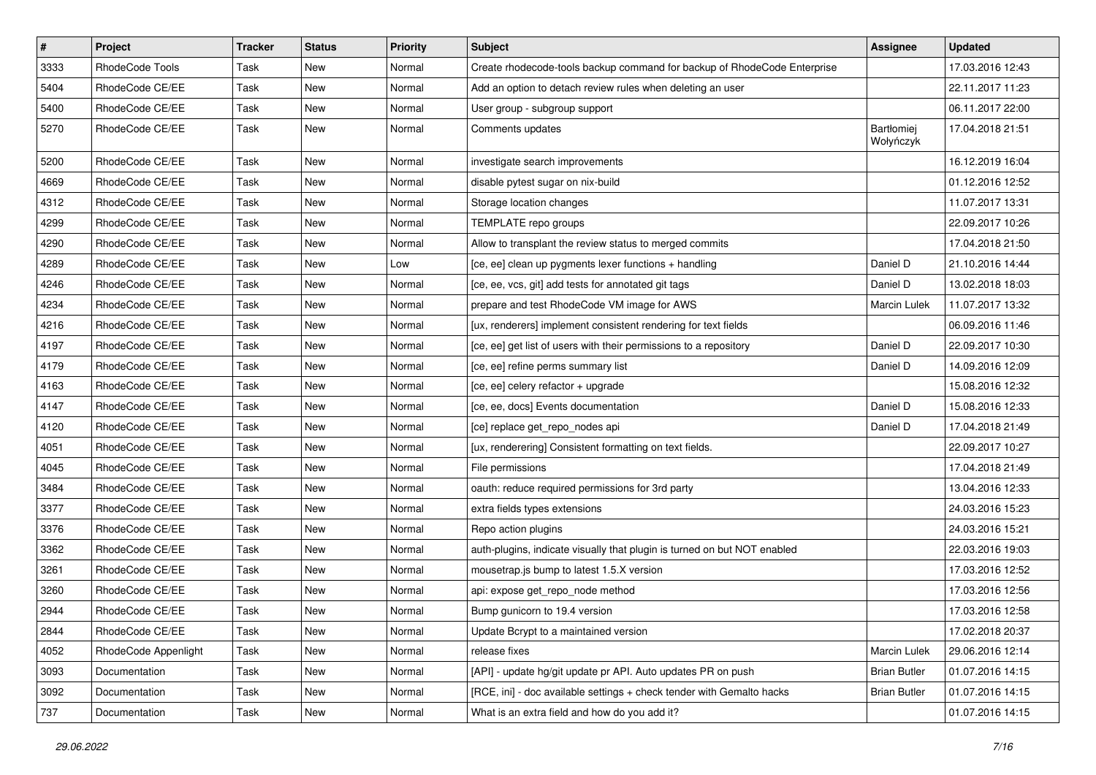| $\sharp$ | Project              | <b>Tracker</b> | <b>Status</b> | <b>Priority</b> | Subject                                                                  | <b>Assignee</b>         | <b>Updated</b>   |
|----------|----------------------|----------------|---------------|-----------------|--------------------------------------------------------------------------|-------------------------|------------------|
| 3333     | RhodeCode Tools      | Task           | New           | Normal          | Create rhodecode-tools backup command for backup of RhodeCode Enterprise |                         | 17.03.2016 12:43 |
| 5404     | RhodeCode CE/EE      | Task           | <b>New</b>    | Normal          | Add an option to detach review rules when deleting an user               |                         | 22.11.2017 11:23 |
| 5400     | RhodeCode CE/EE      | Task           | New           | Normal          | User group - subgroup support                                            |                         | 06.11.2017 22:00 |
| 5270     | RhodeCode CE/EE      | Task           | New           | Normal          | Comments updates                                                         | Bartłomiej<br>Wołyńczyk | 17.04.2018 21:51 |
| 5200     | RhodeCode CE/EE      | Task           | <b>New</b>    | Normal          | investigate search improvements                                          |                         | 16.12.2019 16:04 |
| 4669     | RhodeCode CE/EE      | Task           | <b>New</b>    | Normal          | disable pytest sugar on nix-build                                        |                         | 01.12.2016 12:52 |
| 4312     | RhodeCode CE/EE      | Task           | New           | Normal          | Storage location changes                                                 |                         | 11.07.2017 13:31 |
| 4299     | RhodeCode CE/EE      | Task           | New           | Normal          | TEMPLATE repo groups                                                     |                         | 22.09.2017 10:26 |
| 4290     | RhodeCode CE/EE      | Task           | <b>New</b>    | Normal          | Allow to transplant the review status to merged commits                  |                         | 17.04.2018 21:50 |
| 4289     | RhodeCode CE/EE      | Task           | New           | Low             | [ce, ee] clean up pygments lexer functions + handling                    | Daniel D                | 21.10.2016 14:44 |
| 4246     | RhodeCode CE/EE      | Task           | New           | Normal          | [ce, ee, vcs, git] add tests for annotated git tags                      | Daniel D                | 13.02.2018 18:03 |
| 4234     | RhodeCode CE/EE      | Task           | New           | Normal          | prepare and test RhodeCode VM image for AWS                              | <b>Marcin Lulek</b>     | 11.07.2017 13:32 |
| 4216     | RhodeCode CE/EE      | Task           | New           | Normal          | [ux, renderers] implement consistent rendering for text fields           |                         | 06.09.2016 11:46 |
| 4197     | RhodeCode CE/EE      | Task           | New           | Normal          | [ce, ee] get list of users with their permissions to a repository        | Daniel D                | 22.09.2017 10:30 |
| 4179     | RhodeCode CE/EE      | Task           | New           | Normal          | [ce, ee] refine perms summary list                                       | Daniel D                | 14.09.2016 12:09 |
| 4163     | RhodeCode CE/EE      | Task           | New           | Normal          | [ce, ee] celery refactor + upgrade                                       |                         | 15.08.2016 12:32 |
| 4147     | RhodeCode CE/EE      | Task           | <b>New</b>    | Normal          | [ce, ee, docs] Events documentation                                      | Daniel D                | 15.08.2016 12:33 |
| 4120     | RhodeCode CE/EE      | Task           | New           | Normal          | [ce] replace get_repo_nodes api                                          | Daniel D                | 17.04.2018 21:49 |
| 4051     | RhodeCode CE/EE      | Task           | <b>New</b>    | Normal          | [ux, renderering] Consistent formatting on text fields.                  |                         | 22.09.2017 10:27 |
| 4045     | RhodeCode CE/EE      | Task           | New           | Normal          | File permissions                                                         |                         | 17.04.2018 21:49 |
| 3484     | RhodeCode CE/EE      | Task           | <b>New</b>    | Normal          | oauth: reduce required permissions for 3rd party                         |                         | 13.04.2016 12:33 |
| 3377     | RhodeCode CE/EE      | Task           | <b>New</b>    | Normal          | extra fields types extensions                                            |                         | 24.03.2016 15:23 |
| 3376     | RhodeCode CE/EE      | Task           | New           | Normal          | Repo action plugins                                                      |                         | 24.03.2016 15:21 |
| 3362     | RhodeCode CE/EE      | Task           | New           | Normal          | auth-plugins, indicate visually that plugin is turned on but NOT enabled |                         | 22.03.2016 19:03 |
| 3261     | RhodeCode CE/EE      | Task           | New           | Normal          | mousetrap.js bump to latest 1.5.X version                                |                         | 17.03.2016 12:52 |
| 3260     | RhodeCode CE/EE      | Task           | <b>New</b>    | Normal          | api: expose get repo node method                                         |                         | 17.03.2016 12:56 |
| 2944     | RhodeCode CE/EE      | Task           | New           | Normal          | Bump gunicorn to 19.4 version                                            |                         | 17.03.2016 12:58 |
| 2844     | RhodeCode CE/EE      | Task           | New           | Normal          | Update Bcrypt to a maintained version                                    |                         | 17.02.2018 20:37 |
| 4052     | RhodeCode Appenlight | Task           | New           | Normal          | release fixes                                                            | Marcin Lulek            | 29.06.2016 12:14 |
| 3093     | Documentation        | Task           | New           | Normal          | [API] - update hg/git update pr API. Auto updates PR on push             | <b>Brian Butler</b>     | 01.07.2016 14:15 |
| 3092     | Documentation        | Task           | New           | Normal          | [RCE, ini] - doc available settings + check tender with Gemalto hacks    | <b>Brian Butler</b>     | 01.07.2016 14:15 |
| 737      | Documentation        | Task           | New           | Normal          | What is an extra field and how do you add it?                            |                         | 01.07.2016 14:15 |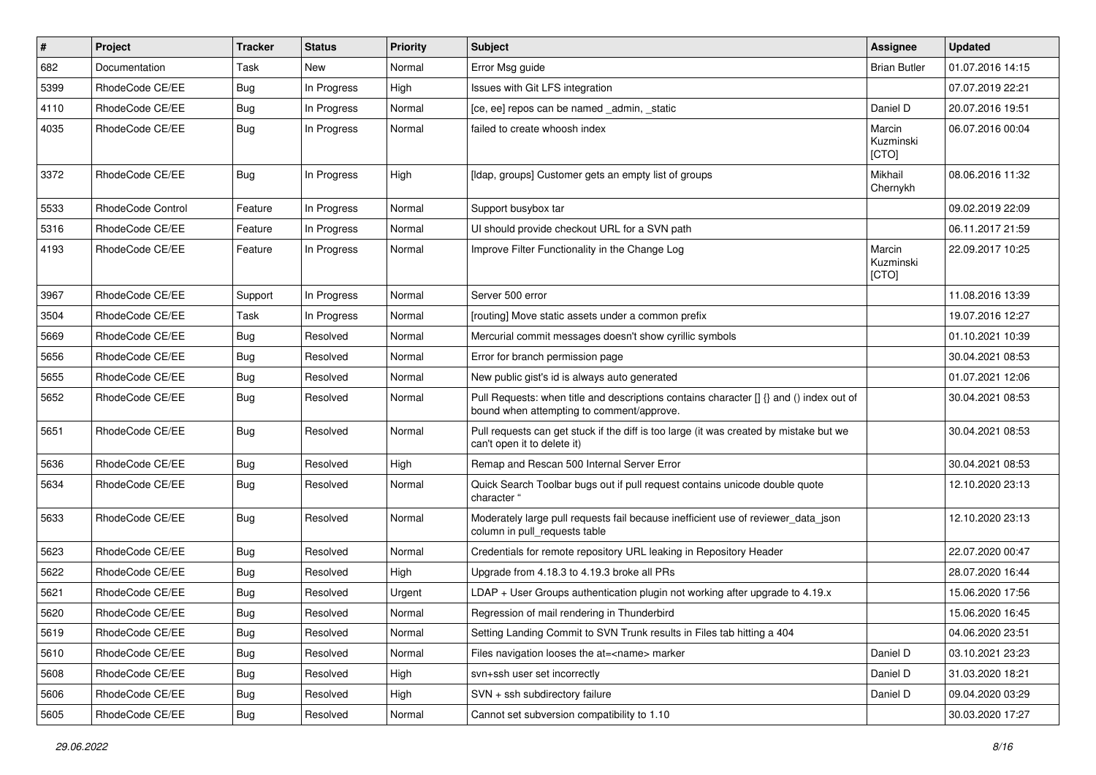| #    | Project           | <b>Tracker</b> | <b>Status</b> | <b>Priority</b> | Subject                                                                                                                              | Assignee                     | <b>Updated</b>   |
|------|-------------------|----------------|---------------|-----------------|--------------------------------------------------------------------------------------------------------------------------------------|------------------------------|------------------|
| 682  | Documentation     | Task           | New           | Normal          | Error Msg guide                                                                                                                      | <b>Brian Butler</b>          | 01.07.2016 14:15 |
| 5399 | RhodeCode CE/EE   | <b>Bug</b>     | In Progress   | High            | Issues with Git LFS integration                                                                                                      |                              | 07.07.2019 22:21 |
| 4110 | RhodeCode CE/EE   | Bug            | In Progress   | Normal          | [ce, ee] repos can be named admin, static                                                                                            | Daniel D                     | 20.07.2016 19:51 |
| 4035 | RhodeCode CE/EE   | Bug            | In Progress   | Normal          | failed to create whoosh index                                                                                                        | Marcin<br>Kuzminski<br>[CTO] | 06.07.2016 00:04 |
| 3372 | RhodeCode CE/EE   | Bug            | In Progress   | High            | [Idap, groups] Customer gets an empty list of groups                                                                                 | Mikhail<br>Chernykh          | 08.06.2016 11:32 |
| 5533 | RhodeCode Control | Feature        | In Progress   | Normal          | Support busybox tar                                                                                                                  |                              | 09.02.2019 22:09 |
| 5316 | RhodeCode CE/EE   | Feature        | In Progress   | Normal          | UI should provide checkout URL for a SVN path                                                                                        |                              | 06.11.2017 21:59 |
| 4193 | RhodeCode CE/EE   | Feature        | In Progress   | Normal          | Improve Filter Functionality in the Change Log                                                                                       | Marcin<br>Kuzminski<br>[CTO] | 22.09.2017 10:25 |
| 3967 | RhodeCode CE/EE   | Support        | In Progress   | Normal          | Server 500 error                                                                                                                     |                              | 11.08.2016 13:39 |
| 3504 | RhodeCode CE/EE   | Task           | In Progress   | Normal          | [routing] Move static assets under a common prefix                                                                                   |                              | 19.07.2016 12:27 |
| 5669 | RhodeCode CE/EE   | <b>Bug</b>     | Resolved      | Normal          | Mercurial commit messages doesn't show cyrillic symbols                                                                              |                              | 01.10.2021 10:39 |
| 5656 | RhodeCode CE/EE   | Bug            | Resolved      | Normal          | Error for branch permission page                                                                                                     |                              | 30.04.2021 08:53 |
| 5655 | RhodeCode CE/EE   | Bug            | Resolved      | Normal          | New public gist's id is always auto generated                                                                                        |                              | 01.07.2021 12:06 |
| 5652 | RhodeCode CE/EE   | Bug            | Resolved      | Normal          | Pull Requests: when title and descriptions contains character [] {} and () index out of<br>bound when attempting to comment/approve. |                              | 30.04.2021 08:53 |
| 5651 | RhodeCode CE/EE   | Bug            | Resolved      | Normal          | Pull requests can get stuck if the diff is too large (it was created by mistake but we<br>can't open it to delete it)                |                              | 30.04.2021 08:53 |
| 5636 | RhodeCode CE/EE   | Bug            | Resolved      | High            | Remap and Rescan 500 Internal Server Error                                                                                           |                              | 30.04.2021 08:53 |
| 5634 | RhodeCode CE/EE   | Bug            | Resolved      | Normal          | Quick Search Toolbar bugs out if pull request contains unicode double quote<br>character "                                           |                              | 12.10.2020 23:13 |
| 5633 | RhodeCode CE/EE   | Bug            | Resolved      | Normal          | Moderately large pull requests fail because inefficient use of reviewer_data_json<br>column in pull_requests table                   |                              | 12.10.2020 23:13 |
| 5623 | RhodeCode CE/EE   | Bug            | Resolved      | Normal          | Credentials for remote repository URL leaking in Repository Header                                                                   |                              | 22.07.2020 00:47 |
| 5622 | RhodeCode CE/EE   | <b>Bug</b>     | Resolved      | High            | Upgrade from 4.18.3 to 4.19.3 broke all PRs                                                                                          |                              | 28.07.2020 16:44 |
| 5621 | RhodeCode CE/EE   | Bug            | Resolved      | Urgent          | LDAP + User Groups authentication plugin not working after upgrade to 4.19.x                                                         |                              | 15.06.2020 17:56 |
| 5620 | RhodeCode CE/EE   | Bug            | Resolved      | Normal          | Regression of mail rendering in Thunderbird                                                                                          |                              | 15.06.2020 16:45 |
| 5619 | RhodeCode CE/EE   | Bug            | Resolved      | Normal          | Setting Landing Commit to SVN Trunk results in Files tab hitting a 404                                                               |                              | 04.06.2020 23:51 |
| 5610 | RhodeCode CE/EE   | <b>Bug</b>     | Resolved      | Normal          | Files navigation looses the at= <name> marker</name>                                                                                 | Daniel D                     | 03.10.2021 23:23 |
| 5608 | RhodeCode CE/EE   | <b>Bug</b>     | Resolved      | High            | svn+ssh user set incorrectly                                                                                                         | Daniel D                     | 31.03.2020 18:21 |
| 5606 | RhodeCode CE/EE   | <b>Bug</b>     | Resolved      | High            | SVN + ssh subdirectory failure                                                                                                       | Daniel D                     | 09.04.2020 03:29 |
| 5605 | RhodeCode CE/EE   | Bug            | Resolved      | Normal          | Cannot set subversion compatibility to 1.10                                                                                          |                              | 30.03.2020 17:27 |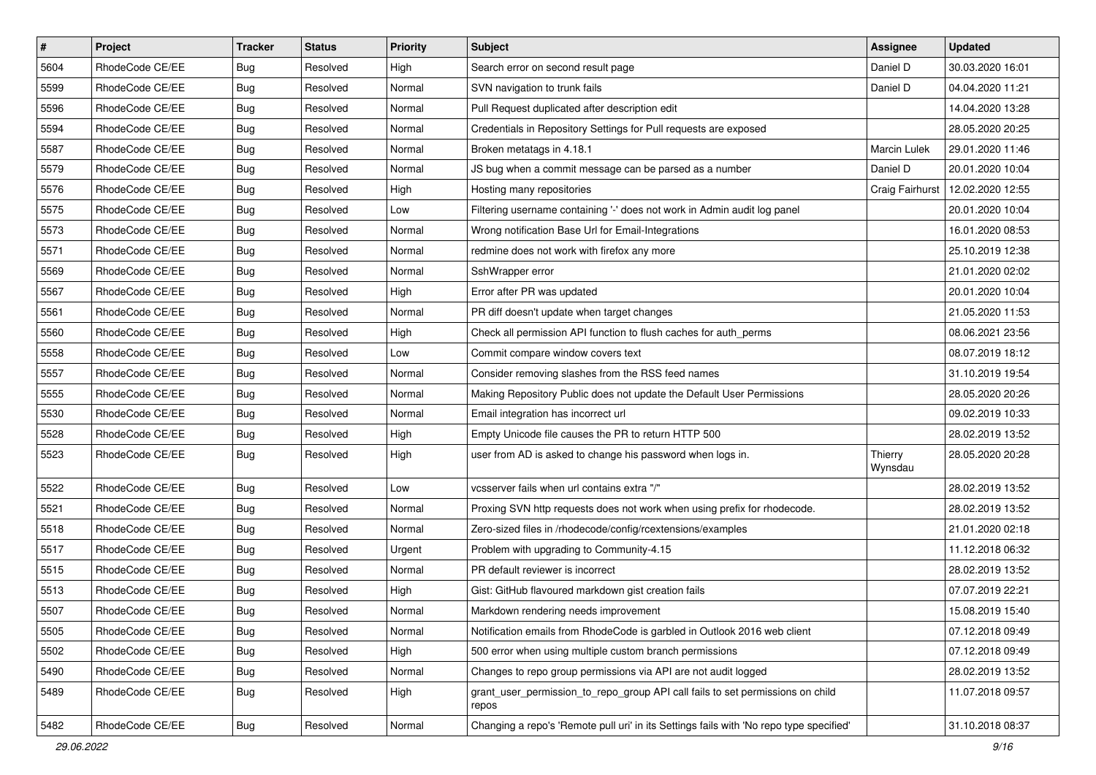| $\pmb{\#}$ | Project         | <b>Tracker</b> | <b>Status</b> | <b>Priority</b> | <b>Subject</b>                                                                          | <b>Assignee</b>     | <b>Updated</b>   |
|------------|-----------------|----------------|---------------|-----------------|-----------------------------------------------------------------------------------------|---------------------|------------------|
| 5604       | RhodeCode CE/EE | <b>Bug</b>     | Resolved      | High            | Search error on second result page                                                      | Daniel D            | 30.03.2020 16:01 |
| 5599       | RhodeCode CE/EE | Bug            | Resolved      | Normal          | SVN navigation to trunk fails                                                           | Daniel D            | 04.04.2020 11:21 |
| 5596       | RhodeCode CE/EE | Bug            | Resolved      | Normal          | Pull Request duplicated after description edit                                          |                     | 14.04.2020 13:28 |
| 5594       | RhodeCode CE/EE | <b>Bug</b>     | Resolved      | Normal          | Credentials in Repository Settings for Pull requests are exposed                        |                     | 28.05.2020 20:25 |
| 5587       | RhodeCode CE/EE | <b>Bug</b>     | Resolved      | Normal          | Broken metatags in 4.18.1                                                               | <b>Marcin Lulek</b> | 29.01.2020 11:46 |
| 5579       | RhodeCode CE/EE | Bug            | Resolved      | Normal          | JS bug when a commit message can be parsed as a number                                  | Daniel D            | 20.01.2020 10:04 |
| 5576       | RhodeCode CE/EE | Bug            | Resolved      | High            | Hosting many repositories                                                               | Craig Fairhurst     | 12.02.2020 12:55 |
| 5575       | RhodeCode CE/EE | Bug            | Resolved      | Low             | Filtering username containing '-' does not work in Admin audit log panel                |                     | 20.01.2020 10:04 |
| 5573       | RhodeCode CE/EE | <b>Bug</b>     | Resolved      | Normal          | Wrong notification Base Url for Email-Integrations                                      |                     | 16.01.2020 08:53 |
| 5571       | RhodeCode CE/EE | <b>Bug</b>     | Resolved      | Normal          | redmine does not work with firefox any more                                             |                     | 25.10.2019 12:38 |
| 5569       | RhodeCode CE/EE | Bug            | Resolved      | Normal          | SshWrapper error                                                                        |                     | 21.01.2020 02:02 |
| 5567       | RhodeCode CE/EE | <b>Bug</b>     | Resolved      | High            | Error after PR was updated                                                              |                     | 20.01.2020 10:04 |
| 5561       | RhodeCode CE/EE | Bug            | Resolved      | Normal          | PR diff doesn't update when target changes                                              |                     | 21.05.2020 11:53 |
| 5560       | RhodeCode CE/EE | <b>Bug</b>     | Resolved      | High            | Check all permission API function to flush caches for auth perms                        |                     | 08.06.2021 23:56 |
| 5558       | RhodeCode CE/EE | <b>Bug</b>     | Resolved      | Low             | Commit compare window covers text                                                       |                     | 08.07.2019 18:12 |
| 5557       | RhodeCode CE/EE | <b>Bug</b>     | Resolved      | Normal          | Consider removing slashes from the RSS feed names                                       |                     | 31.10.2019 19:54 |
| 5555       | RhodeCode CE/EE | <b>Bug</b>     | Resolved      | Normal          | Making Repository Public does not update the Default User Permissions                   |                     | 28.05.2020 20:26 |
| 5530       | RhodeCode CE/EE | Bug            | Resolved      | Normal          | Email integration has incorrect url                                                     |                     | 09.02.2019 10:33 |
| 5528       | RhodeCode CE/EE | Bug            | Resolved      | High            | Empty Unicode file causes the PR to return HTTP 500                                     |                     | 28.02.2019 13:52 |
| 5523       | RhodeCode CE/EE | Bug            | Resolved      | High            | user from AD is asked to change his password when logs in.                              | Thierry<br>Wynsdau  | 28.05.2020 20:28 |
| 5522       | RhodeCode CE/EE | Bug            | Resolved      | Low             | vcsserver fails when url contains extra "/"                                             |                     | 28.02.2019 13:52 |
| 5521       | RhodeCode CE/EE | <b>Bug</b>     | Resolved      | Normal          | Proxing SVN http requests does not work when using prefix for rhodecode.                |                     | 28.02.2019 13:52 |
| 5518       | RhodeCode CE/EE | Bug            | Resolved      | Normal          | Zero-sized files in /rhodecode/config/rcextensions/examples                             |                     | 21.01.2020 02:18 |
| 5517       | RhodeCode CE/EE | <b>Bug</b>     | Resolved      | Urgent          | Problem with upgrading to Community-4.15                                                |                     | 11.12.2018 06:32 |
| 5515       | RhodeCode CE/EE | Bug            | Resolved      | Normal          | PR default reviewer is incorrect                                                        |                     | 28.02.2019 13:52 |
| 5513       | RhodeCode CE/EE | Bug            | Resolved      | High            | Gist: GitHub flavoured markdown gist creation fails                                     |                     | 07.07.2019 22:21 |
| 5507       | RhodeCode CE/EE | <b>Bug</b>     | Resolved      | Normal          | Markdown rendering needs improvement                                                    |                     | 15.08.2019 15:40 |
| 5505       | RhodeCode CE/EE | Bug            | Resolved      | Normal          | Notification emails from RhodeCode is garbled in Outlook 2016 web client                |                     | 07.12.2018 09:49 |
| 5502       | RhodeCode CE/EE | Bug            | Resolved      | High            | 500 error when using multiple custom branch permissions                                 |                     | 07.12.2018 09:49 |
| 5490       | RhodeCode CE/EE | <b>Bug</b>     | Resolved      | Normal          | Changes to repo group permissions via API are not audit logged                          |                     | 28.02.2019 13:52 |
| 5489       | RhodeCode CE/EE | <b>Bug</b>     | Resolved      | High            | grant_user_permission_to_repo_group API call fails to set permissions on child<br>repos |                     | 11.07.2018 09:57 |
| 5482       | RhodeCode CE/EE | Bug            | Resolved      | Normal          | Changing a repo's 'Remote pull uri' in its Settings fails with 'No repo type specified' |                     | 31.10.2018 08:37 |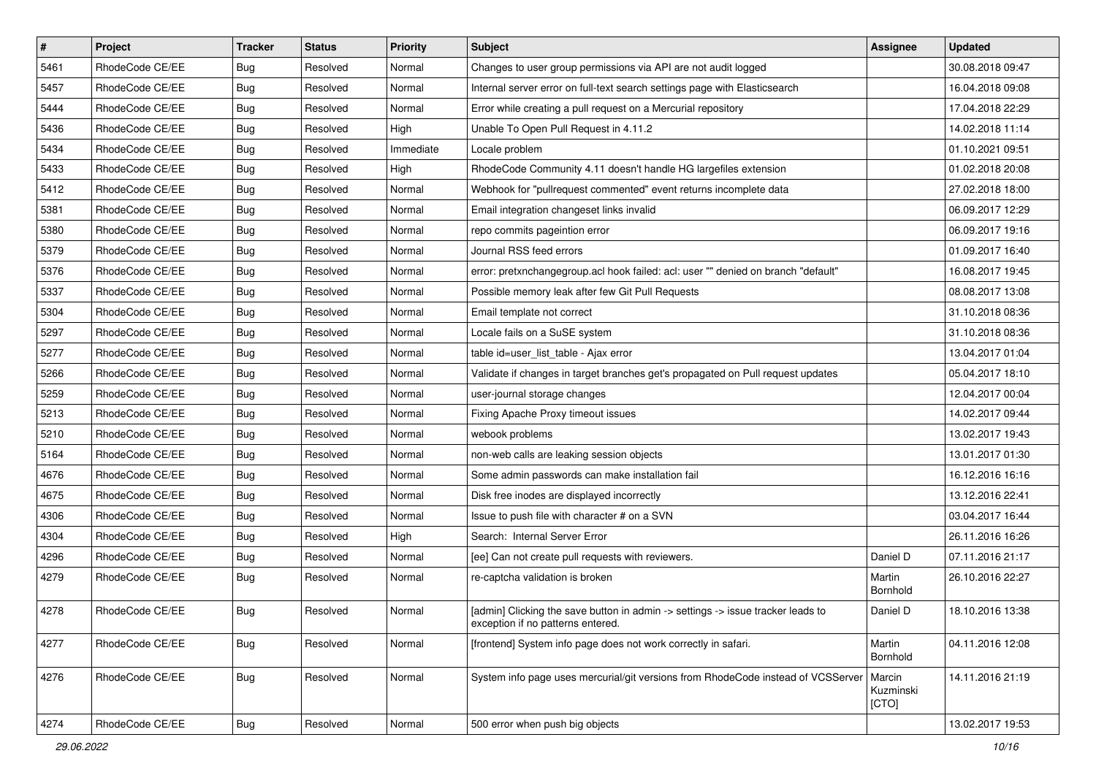| $\vert$ # | Project         | <b>Tracker</b> | <b>Status</b> | Priority  | Subject                                                                                                              | <b>Assignee</b>              | <b>Updated</b>   |
|-----------|-----------------|----------------|---------------|-----------|----------------------------------------------------------------------------------------------------------------------|------------------------------|------------------|
| 5461      | RhodeCode CE/EE | Bug            | Resolved      | Normal    | Changes to user group permissions via API are not audit logged                                                       |                              | 30.08.2018 09:47 |
| 5457      | RhodeCode CE/EE | Bug            | Resolved      | Normal    | Internal server error on full-text search settings page with Elasticsearch                                           |                              | 16.04.2018 09:08 |
| 5444      | RhodeCode CE/EE | Bug            | Resolved      | Normal    | Error while creating a pull request on a Mercurial repository                                                        |                              | 17.04.2018 22:29 |
| 5436      | RhodeCode CE/EE | Bug            | Resolved      | High      | Unable To Open Pull Request in 4.11.2                                                                                |                              | 14.02.2018 11:14 |
| 5434      | RhodeCode CE/EE | Bug            | Resolved      | Immediate | Locale problem                                                                                                       |                              | 01.10.2021 09:51 |
| 5433      | RhodeCode CE/EE | Bug            | Resolved      | High      | RhodeCode Community 4.11 doesn't handle HG largefiles extension                                                      |                              | 01.02.2018 20:08 |
| 5412      | RhodeCode CE/EE | Bug            | Resolved      | Normal    | Webhook for "pullrequest commented" event returns incomplete data                                                    |                              | 27.02.2018 18:00 |
| 5381      | RhodeCode CE/EE | Bug            | Resolved      | Normal    | Email integration changeset links invalid                                                                            |                              | 06.09.2017 12:29 |
| 5380      | RhodeCode CE/EE | Bug            | Resolved      | Normal    | repo commits pageintion error                                                                                        |                              | 06.09.2017 19:16 |
| 5379      | RhodeCode CE/EE | Bug            | Resolved      | Normal    | Journal RSS feed errors                                                                                              |                              | 01.09.2017 16:40 |
| 5376      | RhodeCode CE/EE | Bug            | Resolved      | Normal    | error: pretxnchangegroup.acl hook failed: acl: user "" denied on branch "default"                                    |                              | 16.08.2017 19:45 |
| 5337      | RhodeCode CE/EE | Bug            | Resolved      | Normal    | Possible memory leak after few Git Pull Requests                                                                     |                              | 08.08.2017 13:08 |
| 5304      | RhodeCode CE/EE | Bug            | Resolved      | Normal    | Email template not correct                                                                                           |                              | 31.10.2018 08:36 |
| 5297      | RhodeCode CE/EE | <b>Bug</b>     | Resolved      | Normal    | Locale fails on a SuSE system                                                                                        |                              | 31.10.2018 08:36 |
| 5277      | RhodeCode CE/EE | Bug            | Resolved      | Normal    | table id=user_list_table - Ajax error                                                                                |                              | 13.04.2017 01:04 |
| 5266      | RhodeCode CE/EE | Bug            | Resolved      | Normal    | Validate if changes in target branches get's propagated on Pull request updates                                      |                              | 05.04.2017 18:10 |
| 5259      | RhodeCode CE/EE | Bug            | Resolved      | Normal    | user-journal storage changes                                                                                         |                              | 12.04.2017 00:04 |
| 5213      | RhodeCode CE/EE | Bug            | Resolved      | Normal    | Fixing Apache Proxy timeout issues                                                                                   |                              | 14.02.2017 09:44 |
| 5210      | RhodeCode CE/EE | Bug            | Resolved      | Normal    | webook problems                                                                                                      |                              | 13.02.2017 19:43 |
| 5164      | RhodeCode CE/EE | Bug            | Resolved      | Normal    | non-web calls are leaking session objects                                                                            |                              | 13.01.2017 01:30 |
| 4676      | RhodeCode CE/EE | <b>Bug</b>     | Resolved      | Normal    | Some admin passwords can make installation fail                                                                      |                              | 16.12.2016 16:16 |
| 4675      | RhodeCode CE/EE | Bug            | Resolved      | Normal    | Disk free inodes are displayed incorrectly                                                                           |                              | 13.12.2016 22:41 |
| 4306      | RhodeCode CE/EE | Bug            | Resolved      | Normal    | Issue to push file with character # on a SVN                                                                         |                              | 03.04.2017 16:44 |
| 4304      | RhodeCode CE/EE | <b>Bug</b>     | Resolved      | High      | Search: Internal Server Error                                                                                        |                              | 26.11.2016 16:26 |
| 4296      | RhodeCode CE/EE | Bug            | Resolved      | Normal    | [ee] Can not create pull requests with reviewers.                                                                    | Daniel D                     | 07.11.2016 21:17 |
| 4279      | RhodeCode CE/EE | Bug            | Resolved      | Normal    | re-captcha validation is broken                                                                                      | Martin<br>Bornhold           | 26.10.2016 22:27 |
| 4278      | RhodeCode CE/EE | Bug            | Resolved      | Normal    | [admin] Clicking the save button in admin -> settings -> issue tracker leads to<br>exception if no patterns entered. | Daniel D                     | 18.10.2016 13:38 |
| 4277      | RhodeCode CE/EE | Bug            | Resolved      | Normal    | [frontend] System info page does not work correctly in safari.                                                       | Martin<br>Bornhold           | 04.11.2016 12:08 |
| 4276      | RhodeCode CE/EE | Bug            | Resolved      | Normal    | System info page uses mercurial/git versions from RhodeCode instead of VCSServer                                     | Marcin<br>Kuzminski<br>[CTO] | 14.11.2016 21:19 |
| 4274      | RhodeCode CE/EE | <b>Bug</b>     | Resolved      | Normal    | 500 error when push big objects                                                                                      |                              | 13.02.2017 19:53 |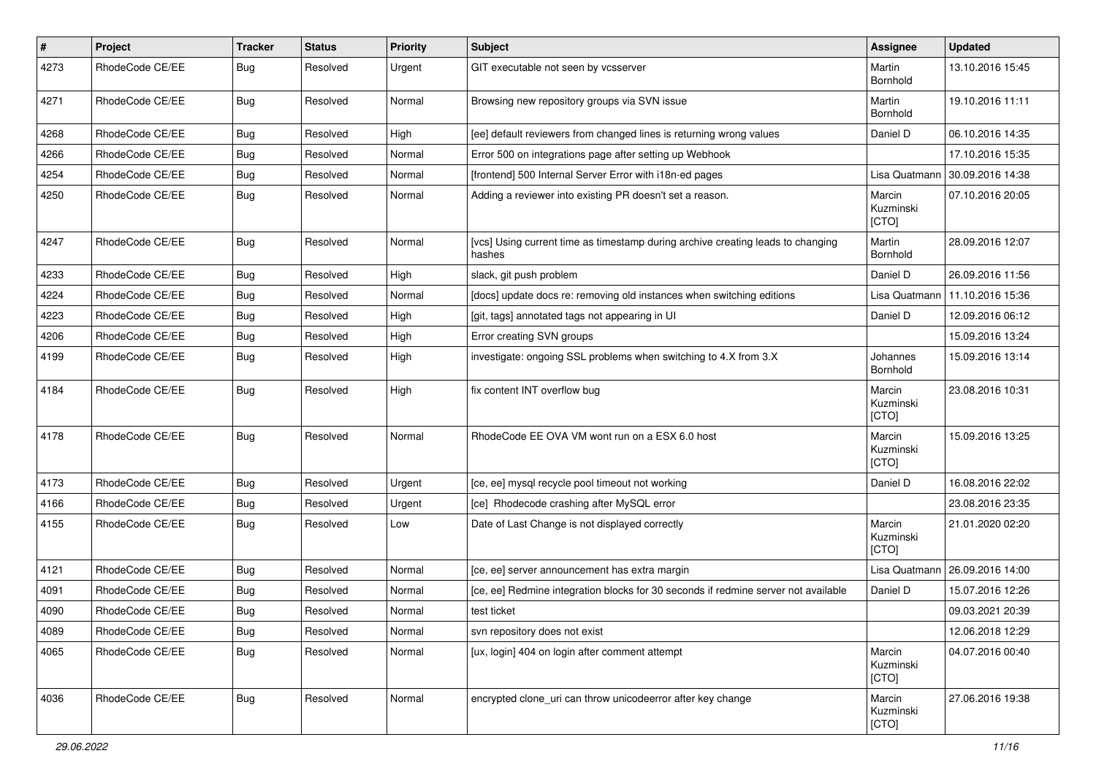| #    | Project         | <b>Tracker</b> | <b>Status</b> | <b>Priority</b> | <b>Subject</b>                                                                            | Assignee                     | <b>Updated</b>   |
|------|-----------------|----------------|---------------|-----------------|-------------------------------------------------------------------------------------------|------------------------------|------------------|
| 4273 | RhodeCode CE/EE | Bug            | Resolved      | Urgent          | GIT executable not seen by vcsserver                                                      | Martin<br>Bornhold           | 13.10.2016 15:45 |
| 4271 | RhodeCode CE/EE | Bug            | Resolved      | Normal          | Browsing new repository groups via SVN issue                                              | Martin<br>Bornhold           | 19.10.2016 11:11 |
| 4268 | RhodeCode CE/EE | Bug            | Resolved      | High            | [ee] default reviewers from changed lines is returning wrong values                       | Daniel D                     | 06.10.2016 14:35 |
| 4266 | RhodeCode CE/EE | Bug            | Resolved      | Normal          | Error 500 on integrations page after setting up Webhook                                   |                              | 17.10.2016 15:35 |
| 4254 | RhodeCode CE/EE | Bug            | Resolved      | Normal          | [frontend] 500 Internal Server Error with i18n-ed pages                                   | Lisa Quatmann                | 30.09.2016 14:38 |
| 4250 | RhodeCode CE/EE | Bug            | Resolved      | Normal          | Adding a reviewer into existing PR doesn't set a reason.                                  | Marcin<br>Kuzminski<br>[CTO] | 07.10.2016 20:05 |
| 4247 | RhodeCode CE/EE | Bug            | Resolved      | Normal          | [vcs] Using current time as timestamp during archive creating leads to changing<br>hashes | Martin<br>Bornhold           | 28.09.2016 12:07 |
| 4233 | RhodeCode CE/EE | Bug            | Resolved      | High            | slack, git push problem                                                                   | Daniel D                     | 26.09.2016 11:56 |
| 4224 | RhodeCode CE/EE | Bug            | Resolved      | Normal          | [docs] update docs re: removing old instances when switching editions                     | Lisa Quatmann                | 11.10.2016 15:36 |
| 4223 | RhodeCode CE/EE | Bug            | Resolved      | High            | [git, tags] annotated tags not appearing in UI                                            | Daniel D                     | 12.09.2016 06:12 |
| 4206 | RhodeCode CE/EE | Bug            | Resolved      | High            | Error creating SVN groups                                                                 |                              | 15.09.2016 13:24 |
| 4199 | RhodeCode CE/EE | Bug            | Resolved      | High            | investigate: ongoing SSL problems when switching to 4.X from 3.X                          | Johannes<br>Bornhold         | 15.09.2016 13:14 |
| 4184 | RhodeCode CE/EE | Bug            | Resolved      | High            | fix content INT overflow bug                                                              | Marcin<br>Kuzminski<br>[CTO] | 23.08.2016 10:31 |
| 4178 | RhodeCode CE/EE | Bug            | Resolved      | Normal          | RhodeCode EE OVA VM wont run on a ESX 6.0 host                                            | Marcin<br>Kuzminski<br>[CTO] | 15.09.2016 13:25 |
| 4173 | RhodeCode CE/EE | Bug            | Resolved      | Urgent          | [ce, ee] mysql recycle pool timeout not working                                           | Daniel D                     | 16.08.2016 22:02 |
| 4166 | RhodeCode CE/EE | Bug            | Resolved      | Urgent          | [ce] Rhodecode crashing after MySQL error                                                 |                              | 23.08.2016 23:35 |
| 4155 | RhodeCode CE/EE | Bug            | Resolved      | Low             | Date of Last Change is not displayed correctly                                            | Marcin<br>Kuzminski<br>[CTO] | 21.01.2020 02:20 |
| 4121 | RhodeCode CE/EE | <b>Bug</b>     | Resolved      | Normal          | [ce, ee] server announcement has extra margin                                             | Lisa Quatmann                | 26.09.2016 14:00 |
| 4091 | RhodeCode CE/EE | Bug            | Resolved      | Normal          | [ce, ee] Redmine integration blocks for 30 seconds if redmine server not available        | Daniel D                     | 15.07.2016 12:26 |
| 4090 | RhodeCode CE/EE | Bug            | Resolved      | Normal          | test ticket                                                                               |                              | 09.03.2021 20:39 |
| 4089 | RhodeCode CE/EE | Bug            | Resolved      | Normal          | svn repository does not exist                                                             |                              | 12.06.2018 12:29 |
| 4065 | RhodeCode CE/EE | <b>Bug</b>     | Resolved      | Normal          | [ux, login] 404 on login after comment attempt                                            | Marcin<br>Kuzminski<br>[CTO] | 04.07.2016 00:40 |
| 4036 | RhodeCode CE/EE | Bug            | Resolved      | Normal          | encrypted clone_uri can throw unicodeerror after key change                               | Marcin<br>Kuzminski<br>[CTO] | 27.06.2016 19:38 |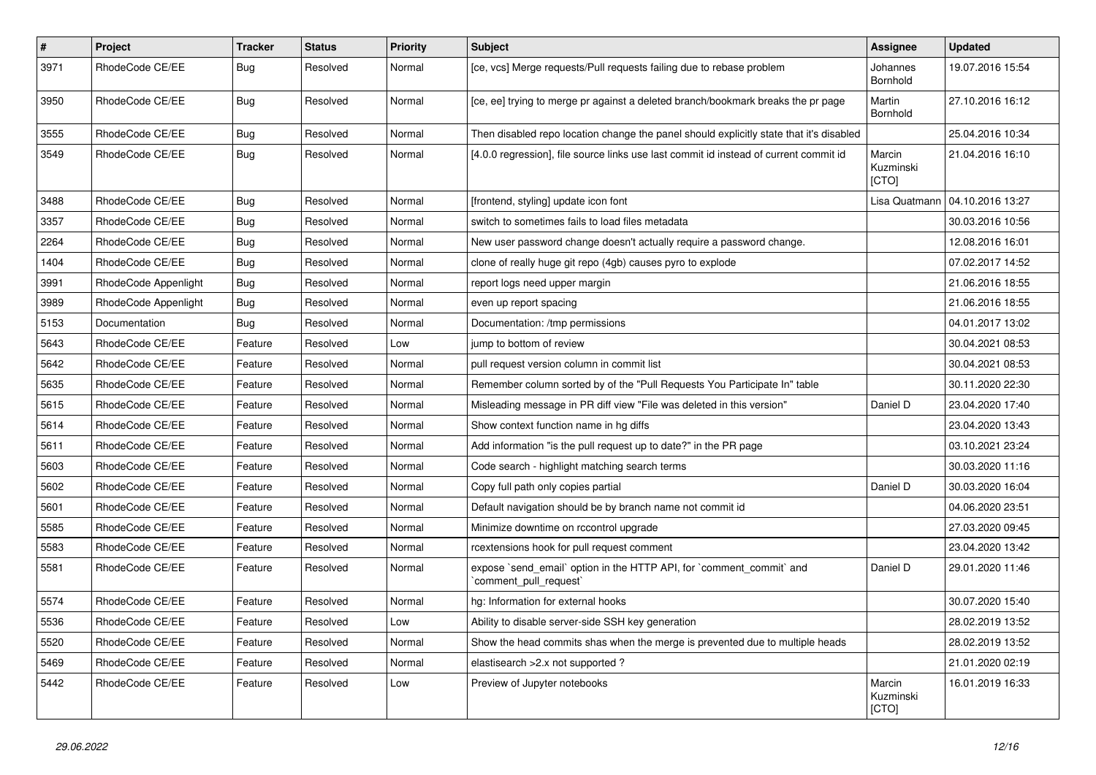| $\#$ | Project              | Tracker    | <b>Status</b> | <b>Priority</b> | <b>Subject</b>                                                                                 | Assignee                     | <b>Updated</b>   |
|------|----------------------|------------|---------------|-----------------|------------------------------------------------------------------------------------------------|------------------------------|------------------|
| 3971 | RhodeCode CE/EE      | Bug        | Resolved      | Normal          | [ce, vcs] Merge requests/Pull requests failing due to rebase problem                           | Johannes<br>Bornhold         | 19.07.2016 15:54 |
| 3950 | RhodeCode CE/EE      | Bug        | Resolved      | Normal          | [ce, ee] trying to merge pr against a deleted branch/bookmark breaks the pr page               | Martin<br>Bornhold           | 27.10.2016 16:12 |
| 3555 | RhodeCode CE/EE      | Bug        | Resolved      | Normal          | Then disabled repo location change the panel should explicitly state that it's disabled        |                              | 25.04.2016 10:34 |
| 3549 | RhodeCode CE/EE      | Bug        | Resolved      | Normal          | [4.0.0 regression], file source links use last commit id instead of current commit id          | Marcin<br>Kuzminski<br>[CTO] | 21.04.2016 16:10 |
| 3488 | RhodeCode CE/EE      | <b>Bug</b> | Resolved      | Normal          | [frontend, styling] update icon font                                                           | Lisa Quatmann                | 04.10.2016 13:27 |
| 3357 | RhodeCode CE/EE      | <b>Bug</b> | Resolved      | Normal          | switch to sometimes fails to load files metadata                                               |                              | 30.03.2016 10:56 |
| 2264 | RhodeCode CE/EE      | <b>Bug</b> | Resolved      | Normal          | New user password change doesn't actually require a password change.                           |                              | 12.08.2016 16:01 |
| 1404 | RhodeCode CE/EE      | <b>Bug</b> | Resolved      | Normal          | clone of really huge git repo (4gb) causes pyro to explode                                     |                              | 07.02.2017 14:52 |
| 3991 | RhodeCode Appenlight | Bug        | Resolved      | Normal          | report logs need upper margin                                                                  |                              | 21.06.2016 18:55 |
| 3989 | RhodeCode Appenlight | <b>Bug</b> | Resolved      | Normal          | even up report spacing                                                                         |                              | 21.06.2016 18:55 |
| 5153 | Documentation        | Bug        | Resolved      | Normal          | Documentation: /tmp permissions                                                                |                              | 04.01.2017 13:02 |
| 5643 | RhodeCode CE/EE      | Feature    | Resolved      | Low             | jump to bottom of review                                                                       |                              | 30.04.2021 08:53 |
| 5642 | RhodeCode CE/EE      | Feature    | Resolved      | Normal          | pull request version column in commit list                                                     |                              | 30.04.2021 08:53 |
| 5635 | RhodeCode CE/EE      | Feature    | Resolved      | Normal          | Remember column sorted by of the "Pull Requests You Participate In" table                      |                              | 30.11.2020 22:30 |
| 5615 | RhodeCode CE/EE      | Feature    | Resolved      | Normal          | Misleading message in PR diff view "File was deleted in this version"                          | Daniel D                     | 23.04.2020 17:40 |
| 5614 | RhodeCode CE/EE      | Feature    | Resolved      | Normal          | Show context function name in hg diffs                                                         |                              | 23.04.2020 13:43 |
| 5611 | RhodeCode CE/EE      | Feature    | Resolved      | Normal          | Add information "is the pull request up to date?" in the PR page                               |                              | 03.10.2021 23:24 |
| 5603 | RhodeCode CE/EE      | Feature    | Resolved      | Normal          | Code search - highlight matching search terms                                                  |                              | 30.03.2020 11:16 |
| 5602 | RhodeCode CE/EE      | Feature    | Resolved      | Normal          | Copy full path only copies partial                                                             | Daniel D                     | 30.03.2020 16:04 |
| 5601 | RhodeCode CE/EE      | Feature    | Resolved      | Normal          | Default navigation should be by branch name not commit id                                      |                              | 04.06.2020 23:51 |
| 5585 | RhodeCode CE/EE      | Feature    | Resolved      | Normal          | Minimize downtime on rccontrol upgrade                                                         |                              | 27.03.2020 09:45 |
| 5583 | RhodeCode CE/EE      | Feature    | Resolved      | Normal          | rcextensions hook for pull request comment                                                     |                              | 23.04.2020 13:42 |
| 5581 | RhodeCode CE/EE      | Feature    | Resolved      | Normal          | expose `send_email` option in the HTTP API, for `comment_commit` and<br>`comment_pull_request` | Daniel D                     | 29.01.2020 11:46 |
| 5574 | RhodeCode CE/EE      | Feature    | Resolved      | Normal          | hg: Information for external hooks                                                             |                              | 30.07.2020 15:40 |
| 5536 | RhodeCode CE/EE      | Feature    | Resolved      | Low             | Ability to disable server-side SSH key generation                                              |                              | 28.02.2019 13:52 |
| 5520 | RhodeCode CE/EE      | Feature    | Resolved      | Normal          | Show the head commits shas when the merge is prevented due to multiple heads                   |                              | 28.02.2019 13:52 |
| 5469 | RhodeCode CE/EE      | Feature    | Resolved      | Normal          | elastisearch > 2.x not supported ?                                                             |                              | 21.01.2020 02:19 |
| 5442 | RhodeCode CE/EE      | Feature    | Resolved      | Low             | Preview of Jupyter notebooks                                                                   | Marcin<br>Kuzminski<br>[CTO] | 16.01.2019 16:33 |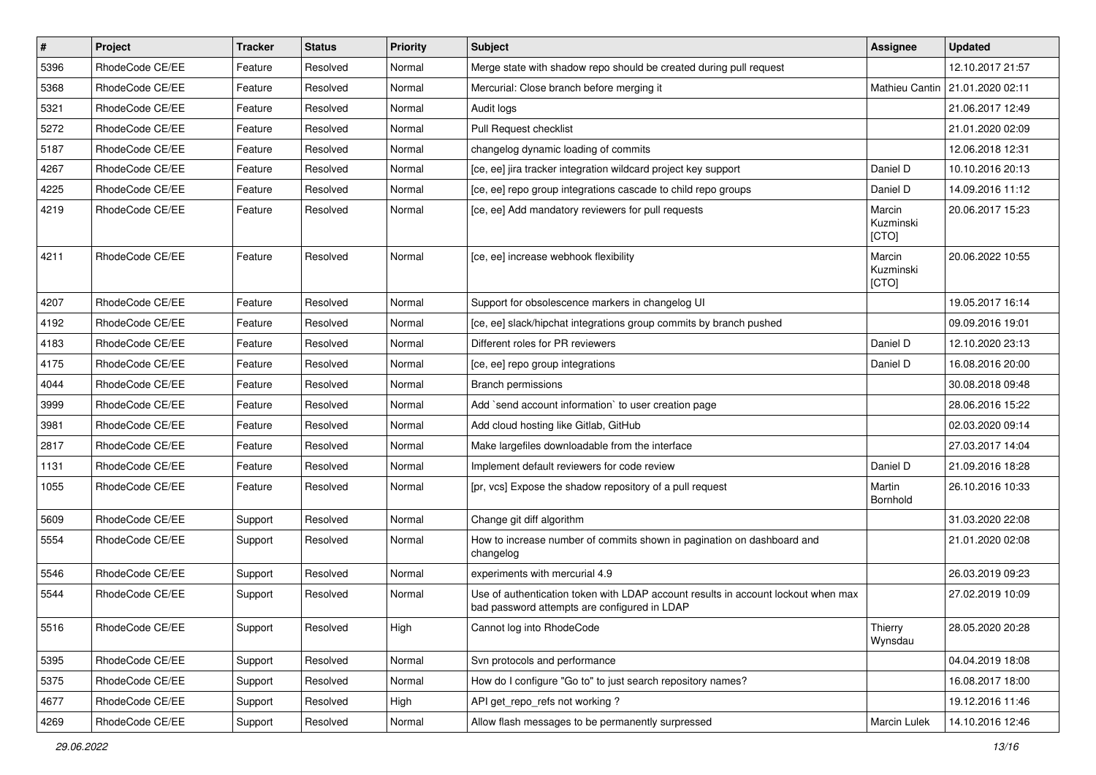| $\vert$ # | Project         | <b>Tracker</b> | <b>Status</b> | <b>Priority</b> | Subject                                                                                                                           | <b>Assignee</b>              | <b>Updated</b>                    |
|-----------|-----------------|----------------|---------------|-----------------|-----------------------------------------------------------------------------------------------------------------------------------|------------------------------|-----------------------------------|
| 5396      | RhodeCode CE/EE | Feature        | Resolved      | Normal          | Merge state with shadow repo should be created during pull request                                                                |                              | 12.10.2017 21:57                  |
| 5368      | RhodeCode CE/EE | Feature        | Resolved      | Normal          | Mercurial: Close branch before merging it                                                                                         |                              | Mathieu Cantin   21.01.2020 02:11 |
| 5321      | RhodeCode CE/EE | Feature        | Resolved      | Normal          | Audit logs                                                                                                                        |                              | 21.06.2017 12:49                  |
| 5272      | RhodeCode CE/EE | Feature        | Resolved      | Normal          | Pull Request checklist                                                                                                            |                              | 21.01.2020 02:09                  |
| 5187      | RhodeCode CE/EE | Feature        | Resolved      | Normal          | changelog dynamic loading of commits                                                                                              |                              | 12.06.2018 12:31                  |
| 4267      | RhodeCode CE/EE | Feature        | Resolved      | Normal          | [ce, ee] jira tracker integration wildcard project key support                                                                    | Daniel D                     | 10.10.2016 20:13                  |
| 4225      | RhodeCode CE/EE | Feature        | Resolved      | Normal          | [ce, ee] repo group integrations cascade to child repo groups                                                                     | Daniel D                     | 14.09.2016 11:12                  |
| 4219      | RhodeCode CE/EE | Feature        | Resolved      | Normal          | [ce, ee] Add mandatory reviewers for pull requests                                                                                | Marcin<br>Kuzminski<br>[CTO] | 20.06.2017 15:23                  |
| 4211      | RhodeCode CE/EE | Feature        | Resolved      | Normal          | [ce, ee] increase webhook flexibility                                                                                             | Marcin<br>Kuzminski<br>[CTO] | 20.06.2022 10:55                  |
| 4207      | RhodeCode CE/EE | Feature        | Resolved      | Normal          | Support for obsolescence markers in changelog UI                                                                                  |                              | 19.05.2017 16:14                  |
| 4192      | RhodeCode CE/EE | Feature        | Resolved      | Normal          | [ce, ee] slack/hipchat integrations group commits by branch pushed                                                                |                              | 09.09.2016 19:01                  |
| 4183      | RhodeCode CE/EE | Feature        | Resolved      | Normal          | Different roles for PR reviewers                                                                                                  | Daniel D                     | 12.10.2020 23:13                  |
| 4175      | RhodeCode CE/EE | Feature        | Resolved      | Normal          | [ce, ee] repo group integrations                                                                                                  | Daniel D                     | 16.08.2016 20:00                  |
| 4044      | RhodeCode CE/EE | Feature        | Resolved      | Normal          | <b>Branch permissions</b>                                                                                                         |                              | 30.08.2018 09:48                  |
| 3999      | RhodeCode CE/EE | Feature        | Resolved      | Normal          | Add `send account information` to user creation page                                                                              |                              | 28.06.2016 15:22                  |
| 3981      | RhodeCode CE/EE | Feature        | Resolved      | Normal          | Add cloud hosting like Gitlab, GitHub                                                                                             |                              | 02.03.2020 09:14                  |
| 2817      | RhodeCode CE/EE | Feature        | Resolved      | Normal          | Make largefiles downloadable from the interface                                                                                   |                              | 27.03.2017 14:04                  |
| 1131      | RhodeCode CE/EE | Feature        | Resolved      | Normal          | Implement default reviewers for code review                                                                                       | Daniel D                     | 21.09.2016 18:28                  |
| 1055      | RhodeCode CE/EE | Feature        | Resolved      | Normal          | [pr, vcs] Expose the shadow repository of a pull request                                                                          | Martin<br>Bornhold           | 26.10.2016 10:33                  |
| 5609      | RhodeCode CE/EE | Support        | Resolved      | Normal          | Change git diff algorithm                                                                                                         |                              | 31.03.2020 22:08                  |
| 5554      | RhodeCode CE/EE | Support        | Resolved      | Normal          | How to increase number of commits shown in pagination on dashboard and<br>changelog                                               |                              | 21.01.2020 02:08                  |
| 5546      | RhodeCode CE/EE | Support        | Resolved      | Normal          | experiments with mercurial 4.9                                                                                                    |                              | 26.03.2019 09:23                  |
| 5544      | RhodeCode CE/EE | Support        | Resolved      | Normal          | Use of authentication token with LDAP account results in account lockout when max<br>bad password attempts are configured in LDAP |                              | 27.02.2019 10:09                  |
| 5516      | RhodeCode CE/EE | Support        | Resolved      | High            | Cannot log into RhodeCode                                                                                                         | Thierry<br>Wynsdau           | 28.05.2020 20:28                  |
| 5395      | RhodeCode CE/EE | Support        | Resolved      | Normal          | Svn protocols and performance                                                                                                     |                              | 04.04.2019 18:08                  |
| 5375      | RhodeCode CE/EE | Support        | Resolved      | Normal          | How do I configure "Go to" to just search repository names?                                                                       |                              | 16.08.2017 18:00                  |
| 4677      | RhodeCode CE/EE | Support        | Resolved      | High            | API get_repo_refs not working?                                                                                                    |                              | 19.12.2016 11:46                  |
| 4269      | RhodeCode CE/EE | Support        | Resolved      | Normal          | Allow flash messages to be permanently surpressed                                                                                 | Marcin Lulek                 | 14.10.2016 12:46                  |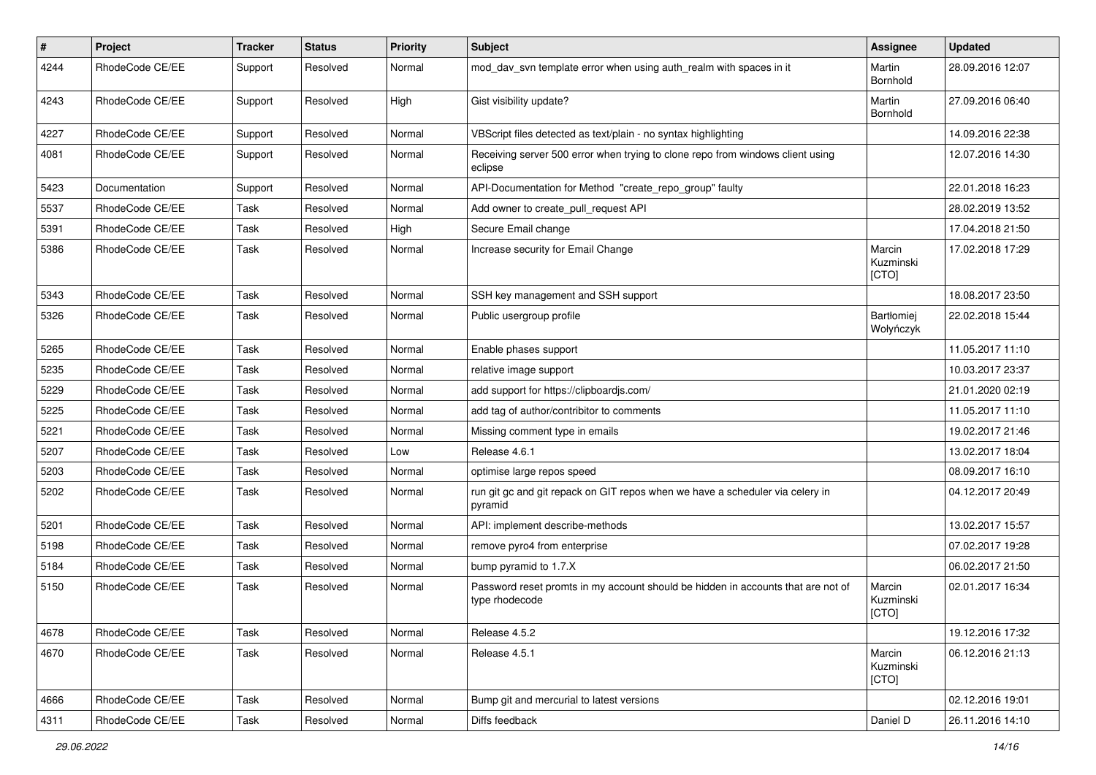| $\sharp$ | Project         | <b>Tracker</b> | <b>Status</b> | <b>Priority</b> | Subject                                                                                            | Assignee                     | <b>Updated</b>   |
|----------|-----------------|----------------|---------------|-----------------|----------------------------------------------------------------------------------------------------|------------------------------|------------------|
| 4244     | RhodeCode CE/EE | Support        | Resolved      | Normal          | mod day syn template error when using auth realm with spaces in it                                 | Martin<br>Bornhold           | 28.09.2016 12:07 |
| 4243     | RhodeCode CE/EE | Support        | Resolved      | High            | Gist visibility update?                                                                            | Martin<br>Bornhold           | 27.09.2016 06:40 |
| 4227     | RhodeCode CE/EE | Support        | Resolved      | Normal          | VBScript files detected as text/plain - no syntax highlighting                                     |                              | 14.09.2016 22:38 |
| 4081     | RhodeCode CE/EE | Support        | Resolved      | Normal          | Receiving server 500 error when trying to clone repo from windows client using<br>eclipse          |                              | 12.07.2016 14:30 |
| 5423     | Documentation   | Support        | Resolved      | Normal          | API-Documentation for Method "create_repo_group" faulty                                            |                              | 22.01.2018 16:23 |
| 5537     | RhodeCode CE/EE | Task           | Resolved      | Normal          | Add owner to create_pull_request API                                                               |                              | 28.02.2019 13:52 |
| 5391     | RhodeCode CE/EE | Task           | Resolved      | High            | Secure Email change                                                                                |                              | 17.04.2018 21:50 |
| 5386     | RhodeCode CE/EE | Task           | Resolved      | Normal          | Increase security for Email Change                                                                 | Marcin<br>Kuzminski<br>[CTO] | 17.02.2018 17:29 |
| 5343     | RhodeCode CE/EE | Task           | Resolved      | Normal          | SSH key management and SSH support                                                                 |                              | 18.08.2017 23:50 |
| 5326     | RhodeCode CE/EE | Task           | Resolved      | Normal          | Public usergroup profile                                                                           | Bartłomiej<br>Wołyńczyk      | 22.02.2018 15:44 |
| 5265     | RhodeCode CE/EE | Task           | Resolved      | Normal          | Enable phases support                                                                              |                              | 11.05.2017 11:10 |
| 5235     | RhodeCode CE/EE | Task           | Resolved      | Normal          | relative image support                                                                             |                              | 10.03.2017 23:37 |
| 5229     | RhodeCode CE/EE | Task           | Resolved      | Normal          | add support for https://clipboardjs.com/                                                           |                              | 21.01.2020 02:19 |
| 5225     | RhodeCode CE/EE | Task           | Resolved      | Normal          | add tag of author/contribitor to comments                                                          |                              | 11.05.2017 11:10 |
| 5221     | RhodeCode CE/EE | Task           | Resolved      | Normal          | Missing comment type in emails                                                                     |                              | 19.02.2017 21:46 |
| 5207     | RhodeCode CE/EE | Task           | Resolved      | Low             | Release 4.6.1                                                                                      |                              | 13.02.2017 18:04 |
| 5203     | RhodeCode CE/EE | Task           | Resolved      | Normal          | optimise large repos speed                                                                         |                              | 08.09.2017 16:10 |
| 5202     | RhodeCode CE/EE | Task           | Resolved      | Normal          | run git gc and git repack on GIT repos when we have a scheduler via celery in<br>pyramid           |                              | 04.12.2017 20:49 |
| 5201     | RhodeCode CE/EE | Task           | Resolved      | Normal          | API: implement describe-methods                                                                    |                              | 13.02.2017 15:57 |
| 5198     | RhodeCode CE/EE | Task           | Resolved      | Normal          | remove pyro4 from enterprise                                                                       |                              | 07.02.2017 19:28 |
| 5184     | RhodeCode CE/EE | Task           | Resolved      | Normal          | bump pyramid to 1.7.X                                                                              |                              | 06.02.2017 21:50 |
| 5150     | RhodeCode CE/EE | Task           | Resolved      | Normal          | Password reset promts in my account should be hidden in accounts that are not of<br>type rhodecode | Marcin<br>Kuzminski<br>[CTO] | 02.01.2017 16:34 |
| 4678     | RhodeCode CE/EE | Task           | Resolved      | Normal          | Release 4.5.2                                                                                      |                              | 19.12.2016 17:32 |
| 4670     | RhodeCode CE/EE | Task           | Resolved      | Normal          | Release 4.5.1                                                                                      | Marcin<br>Kuzminski<br>[CTO] | 06.12.2016 21:13 |
| 4666     | RhodeCode CE/EE | Task           | Resolved      | Normal          | Bump git and mercurial to latest versions                                                          |                              | 02.12.2016 19:01 |
| 4311     | RhodeCode CE/EE | Task           | Resolved      | Normal          | Diffs feedback                                                                                     | Daniel D                     | 26.11.2016 14:10 |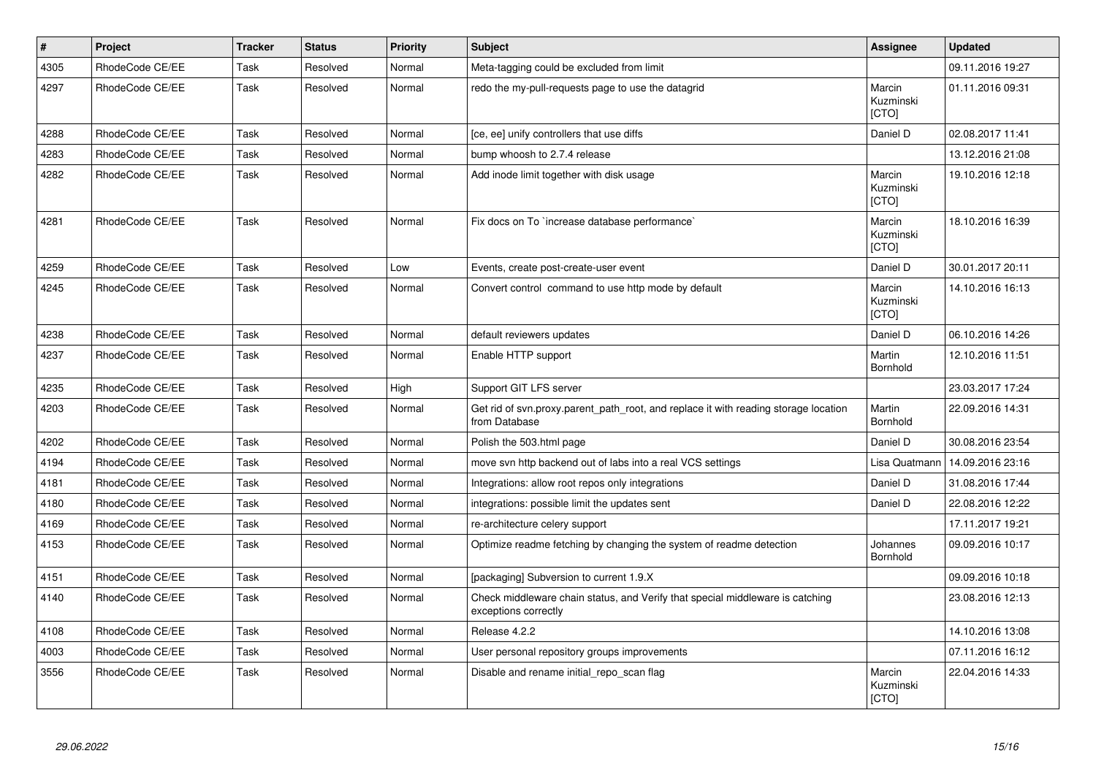| $\vert$ # | Project         | <b>Tracker</b> | <b>Status</b> | <b>Priority</b> | <b>Subject</b>                                                                                        | Assignee                            | <b>Updated</b>   |
|-----------|-----------------|----------------|---------------|-----------------|-------------------------------------------------------------------------------------------------------|-------------------------------------|------------------|
| 4305      | RhodeCode CE/EE | Task           | Resolved      | Normal          | Meta-tagging could be excluded from limit                                                             |                                     | 09.11.2016 19:27 |
| 4297      | RhodeCode CE/EE | Task           | Resolved      | Normal          | redo the my-pull-requests page to use the datagrid                                                    | Marcin<br>Kuzminski<br>[CTO]        | 01.11.2016 09:31 |
| 4288      | RhodeCode CE/EE | Task           | Resolved      | Normal          | [ce, ee] unify controllers that use diffs                                                             | Daniel D                            | 02.08.2017 11:41 |
| 4283      | RhodeCode CE/EE | Task           | Resolved      | Normal          | bump whoosh to 2.7.4 release                                                                          |                                     | 13.12.2016 21:08 |
| 4282      | RhodeCode CE/EE | Task           | Resolved      | Normal          | Add inode limit together with disk usage                                                              | Marcin<br>Kuzminski<br>[CTO]        | 19.10.2016 12:18 |
| 4281      | RhodeCode CE/EE | Task           | Resolved      | Normal          | Fix docs on To `increase database performance`                                                        | Marcin<br>Kuzminski<br><b>ICTOI</b> | 18.10.2016 16:39 |
| 4259      | RhodeCode CE/EE | Task           | Resolved      | Low             | Events, create post-create-user event                                                                 | Daniel D                            | 30.01.2017 20:11 |
| 4245      | RhodeCode CE/EE | Task           | Resolved      | Normal          | Convert control command to use http mode by default                                                   | Marcin<br>Kuzminski<br>[CTO]        | 14.10.2016 16:13 |
| 4238      | RhodeCode CE/EE | Task           | Resolved      | Normal          | default reviewers updates                                                                             | Daniel D                            | 06.10.2016 14:26 |
| 4237      | RhodeCode CE/EE | Task           | Resolved      | Normal          | Enable HTTP support                                                                                   | Martin<br>Bornhold                  | 12.10.2016 11:51 |
| 4235      | RhodeCode CE/EE | Task           | Resolved      | High            | Support GIT LFS server                                                                                |                                     | 23.03.2017 17:24 |
| 4203      | RhodeCode CE/EE | Task           | Resolved      | Normal          | Get rid of svn.proxy.parent_path_root, and replace it with reading storage location<br>from Database  | Martin<br><b>Bornhold</b>           | 22.09.2016 14:31 |
| 4202      | RhodeCode CE/EE | Task           | Resolved      | Normal          | Polish the 503.html page                                                                              | Daniel D                            | 30.08.2016 23:54 |
| 4194      | RhodeCode CE/EE | Task           | Resolved      | Normal          | move svn http backend out of labs into a real VCS settings                                            | Lisa Quatmann                       | 14.09.2016 23:16 |
| 4181      | RhodeCode CE/EE | Task           | Resolved      | Normal          | Integrations: allow root repos only integrations                                                      | Daniel D                            | 31.08.2016 17:44 |
| 4180      | RhodeCode CE/EE | Task           | Resolved      | Normal          | integrations: possible limit the updates sent                                                         | Daniel D                            | 22.08.2016 12:22 |
| 4169      | RhodeCode CE/EE | Task           | Resolved      | Normal          | re-architecture celery support                                                                        |                                     | 17.11.2017 19:21 |
| 4153      | RhodeCode CE/EE | Task           | Resolved      | Normal          | Optimize readme fetching by changing the system of readme detection                                   | Johannes<br>Bornhold                | 09.09.2016 10:17 |
| 4151      | RhodeCode CE/EE | Task           | Resolved      | Normal          | [packaging] Subversion to current 1.9.X                                                               |                                     | 09.09.2016 10:18 |
| 4140      | RhodeCode CE/EE | Task           | Resolved      | Normal          | Check middleware chain status, and Verify that special middleware is catching<br>exceptions correctly |                                     | 23.08.2016 12:13 |
| 4108      | RhodeCode CE/EE | Task           | Resolved      | Normal          | Release 4.2.2                                                                                         |                                     | 14.10.2016 13:08 |
| 4003      | RhodeCode CE/EE | Task           | Resolved      | Normal          | User personal repository groups improvements                                                          |                                     | 07.11.2016 16:12 |
| 3556      | RhodeCode CE/EE | Task           | Resolved      | Normal          | Disable and rename initial repo scan flag                                                             | Marcin<br>Kuzminski<br><b>[CTO]</b> | 22.04.2016 14:33 |